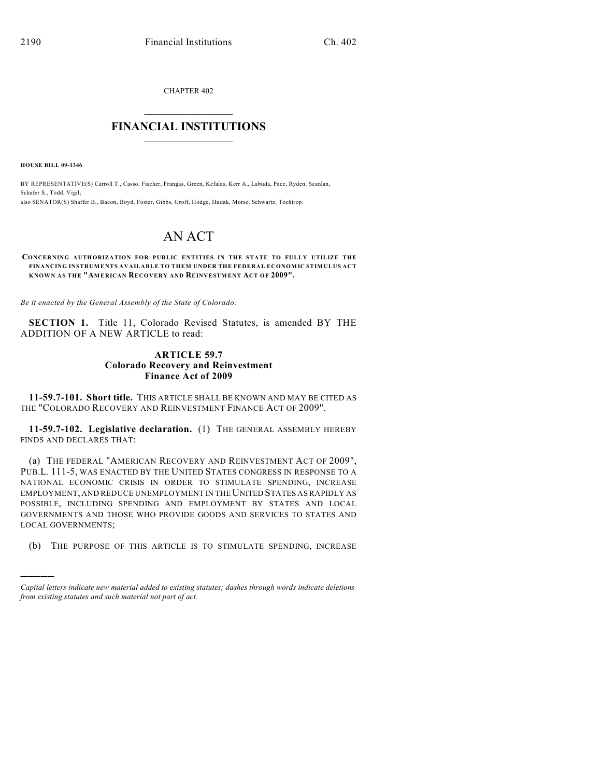CHAPTER 402

## $\overline{\phantom{a}}$  . The set of the set of the set of the set of the set of the set of the set of the set of the set of the set of the set of the set of the set of the set of the set of the set of the set of the set of the set o **FINANCIAL INSTITUTIONS**  $\frac{1}{2}$  ,  $\frac{1}{2}$  ,  $\frac{1}{2}$  ,  $\frac{1}{2}$  ,  $\frac{1}{2}$  ,  $\frac{1}{2}$  ,  $\frac{1}{2}$

**HOUSE BILL 09-1346**

)))))

BY REPRESENTATIVE(S) Carroll T., Casso, Fischer, Frangas, Green, Kefalas, Kerr A., Labuda, Pace, Ryden, Scanlan, Schafer S., Todd, Vigil; also SENATOR(S) Shaffer B., Bacon, Boyd, Foster, Gibbs, Groff, Hodge, Hudak, Morse, Schwartz, Tochtrop.

# AN ACT

#### **CONCERNING AUTHORIZATION FOR PUBLIC ENTITIES IN THE STATE TO FULLY UTILIZE THE FINANCING INSTRUMENTS AVAILABLE TO THEM UNDER THE FEDERAL ECONOMIC STIMULUS ACT KNOWN AS THE "AMERICAN RECOVERY AND REINVESTMENT ACT OF 2009".**

*Be it enacted by the General Assembly of the State of Colorado:*

**SECTION 1.** Title 11, Colorado Revised Statutes, is amended BY THE ADDITION OF A NEW ARTICLE to read:

### **ARTICLE 59.7 Colorado Recovery and Reinvestment Finance Act of 2009**

**11-59.7-101. Short title.** THIS ARTICLE SHALL BE KNOWN AND MAY BE CITED AS THE "COLORADO RECOVERY AND REINVESTMENT FINANCE ACT OF 2009".

**11-59.7-102. Legislative declaration.** (1) THE GENERAL ASSEMBLY HEREBY FINDS AND DECLARES THAT:

(a) THE FEDERAL "AMERICAN RECOVERY AND REINVESTMENT ACT OF 2009", PUB.L. 111-5, WAS ENACTED BY THE UNITED STATES CONGRESS IN RESPONSE TO A NATIONAL ECONOMIC CRISIS IN ORDER TO STIMULATE SPENDING, INCREASE EMPLOYMENT, AND REDUCE UNEMPLOYMENT IN THE UNITED STATES AS RAPIDLY AS POSSIBLE, INCLUDING SPENDING AND EMPLOYMENT BY STATES AND LOCAL GOVERNMENTS AND THOSE WHO PROVIDE GOODS AND SERVICES TO STATES AND LOCAL GOVERNMENTS;

(b) THE PURPOSE OF THIS ARTICLE IS TO STIMULATE SPENDING, INCREASE

*Capital letters indicate new material added to existing statutes; dashes through words indicate deletions from existing statutes and such material not part of act.*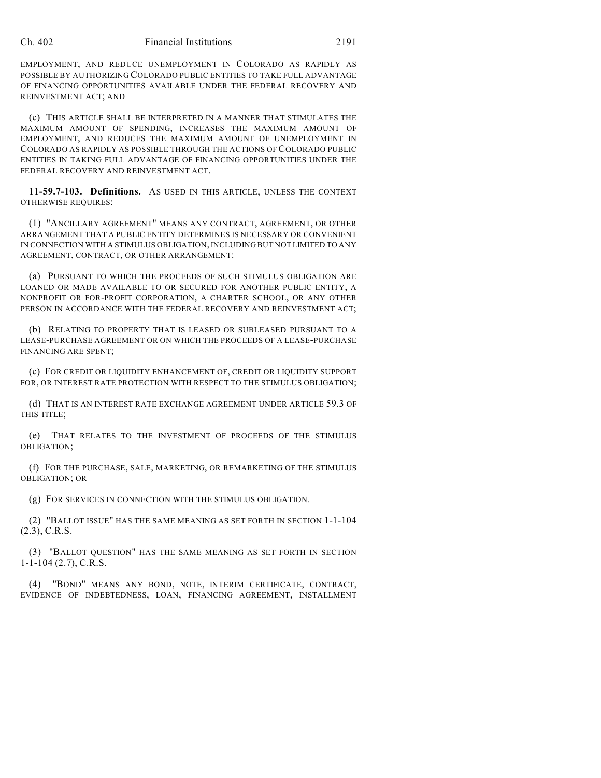#### Ch. 402 Financial Institutions 2191

EMPLOYMENT, AND REDUCE UNEMPLOYMENT IN COLORADO AS RAPIDLY AS POSSIBLE BY AUTHORIZING COLORADO PUBLIC ENTITIES TO TAKE FULL ADVANTAGE OF FINANCING OPPORTUNITIES AVAILABLE UNDER THE FEDERAL RECOVERY AND REINVESTMENT ACT; AND

(c) THIS ARTICLE SHALL BE INTERPRETED IN A MANNER THAT STIMULATES THE MAXIMUM AMOUNT OF SPENDING, INCREASES THE MAXIMUM AMOUNT OF EMPLOYMENT, AND REDUCES THE MAXIMUM AMOUNT OF UNEMPLOYMENT IN COLORADO AS RAPIDLY AS POSSIBLE THROUGH THE ACTIONS OF COLORADO PUBLIC ENTITIES IN TAKING FULL ADVANTAGE OF FINANCING OPPORTUNITIES UNDER THE FEDERAL RECOVERY AND REINVESTMENT ACT.

**11-59.7-103. Definitions.** AS USED IN THIS ARTICLE, UNLESS THE CONTEXT OTHERWISE REQUIRES:

(1) "ANCILLARY AGREEMENT" MEANS ANY CONTRACT, AGREEMENT, OR OTHER ARRANGEMENT THAT A PUBLIC ENTITY DETERMINES IS NECESSARY OR CONVENIENT IN CONNECTION WITH A STIMULUS OBLIGATION, INCLUDING BUT NOT LIMITED TO ANY AGREEMENT, CONTRACT, OR OTHER ARRANGEMENT:

(a) PURSUANT TO WHICH THE PROCEEDS OF SUCH STIMULUS OBLIGATION ARE LOANED OR MADE AVAILABLE TO OR SECURED FOR ANOTHER PUBLIC ENTITY, A NONPROFIT OR FOR-PROFIT CORPORATION, A CHARTER SCHOOL, OR ANY OTHER PERSON IN ACCORDANCE WITH THE FEDERAL RECOVERY AND REINVESTMENT ACT;

(b) RELATING TO PROPERTY THAT IS LEASED OR SUBLEASED PURSUANT TO A LEASE-PURCHASE AGREEMENT OR ON WHICH THE PROCEEDS OF A LEASE-PURCHASE FINANCING ARE SPENT;

(c) FOR CREDIT OR LIQUIDITY ENHANCEMENT OF, CREDIT OR LIQUIDITY SUPPORT FOR, OR INTEREST RATE PROTECTION WITH RESPECT TO THE STIMULUS OBLIGATION;

(d) THAT IS AN INTEREST RATE EXCHANGE AGREEMENT UNDER ARTICLE 59.3 OF THIS TITLE;

(e) THAT RELATES TO THE INVESTMENT OF PROCEEDS OF THE STIMULUS OBLIGATION;

(f) FOR THE PURCHASE, SALE, MARKETING, OR REMARKETING OF THE STIMULUS OBLIGATION; OR

(g) FOR SERVICES IN CONNECTION WITH THE STIMULUS OBLIGATION.

(2) "BALLOT ISSUE" HAS THE SAME MEANING AS SET FORTH IN SECTION 1-1-104 (2.3), C.R.S.

(3) "BALLOT QUESTION" HAS THE SAME MEANING AS SET FORTH IN SECTION 1-1-104 (2.7), C.R.S.

(4) "BOND" MEANS ANY BOND, NOTE, INTERIM CERTIFICATE, CONTRACT, EVIDENCE OF INDEBTEDNESS, LOAN, FINANCING AGREEMENT, INSTALLMENT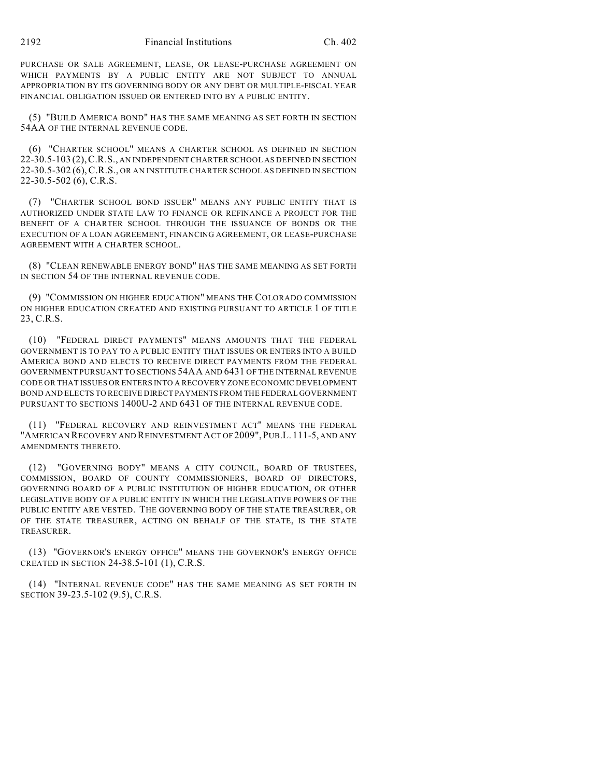PURCHASE OR SALE AGREEMENT, LEASE, OR LEASE-PURCHASE AGREEMENT ON WHICH PAYMENTS BY A PUBLIC ENTITY ARE NOT SUBJECT TO ANNUAL APPROPRIATION BY ITS GOVERNING BODY OR ANY DEBT OR MULTIPLE-FISCAL YEAR FINANCIAL OBLIGATION ISSUED OR ENTERED INTO BY A PUBLIC ENTITY.

(5) "BUILD AMERICA BOND" HAS THE SAME MEANING AS SET FORTH IN SECTION 54AA OF THE INTERNAL REVENUE CODE.

(6) "CHARTER SCHOOL" MEANS A CHARTER SCHOOL AS DEFINED IN SECTION 22-30.5-103 (2),C.R.S., AN INDEPENDENT CHARTER SCHOOL AS DEFINED IN SECTION 22-30.5-302 (6),C.R.S., OR AN INSTITUTE CHARTER SCHOOL AS DEFINED IN SECTION 22-30.5-502 (6), C.R.S.

(7) "CHARTER SCHOOL BOND ISSUER" MEANS ANY PUBLIC ENTITY THAT IS AUTHORIZED UNDER STATE LAW TO FINANCE OR REFINANCE A PROJECT FOR THE BENEFIT OF A CHARTER SCHOOL THROUGH THE ISSUANCE OF BONDS OR THE EXECUTION OF A LOAN AGREEMENT, FINANCING AGREEMENT, OR LEASE-PURCHASE AGREEMENT WITH A CHARTER SCHOOL.

(8) "CLEAN RENEWABLE ENERGY BOND" HAS THE SAME MEANING AS SET FORTH IN SECTION 54 OF THE INTERNAL REVENUE CODE.

(9) "COMMISSION ON HIGHER EDUCATION" MEANS THE COLORADO COMMISSION ON HIGHER EDUCATION CREATED AND EXISTING PURSUANT TO ARTICLE 1 OF TITLE 23, C.R.S.

(10) "FEDERAL DIRECT PAYMENTS" MEANS AMOUNTS THAT THE FEDERAL GOVERNMENT IS TO PAY TO A PUBLIC ENTITY THAT ISSUES OR ENTERS INTO A BUILD AMERICA BOND AND ELECTS TO RECEIVE DIRECT PAYMENTS FROM THE FEDERAL GOVERNMENT PURSUANT TO SECTIONS 54AA AND 6431 OF THE INTERNAL REVENUE CODE OR THAT ISSUES OR ENTERS INTO A RECOVERY ZONE ECONOMIC DEVELOPMENT BOND AND ELECTS TO RECEIVE DIRECT PAYMENTS FROM THE FEDERAL GOVERNMENT PURSUANT TO SECTIONS 1400U-2 AND 6431 OF THE INTERNAL REVENUE CODE.

(11) "FEDERAL RECOVERY AND REINVESTMENT ACT" MEANS THE FEDERAL "AMERICAN RECOVERY AND REINVESTMENT ACT OF 2009",PUB.L. 111-5, AND ANY AMENDMENTS THERETO.

(12) "GOVERNING BODY" MEANS A CITY COUNCIL, BOARD OF TRUSTEES, COMMISSION, BOARD OF COUNTY COMMISSIONERS, BOARD OF DIRECTORS, GOVERNING BOARD OF A PUBLIC INSTITUTION OF HIGHER EDUCATION, OR OTHER LEGISLATIVE BODY OF A PUBLIC ENTITY IN WHICH THE LEGISLATIVE POWERS OF THE PUBLIC ENTITY ARE VESTED. THE GOVERNING BODY OF THE STATE TREASURER, OR OF THE STATE TREASURER, ACTING ON BEHALF OF THE STATE, IS THE STATE TREASURER.

(13) "GOVERNOR'S ENERGY OFFICE" MEANS THE GOVERNOR'S ENERGY OFFICE CREATED IN SECTION 24-38.5-101 (1), C.R.S.

(14) "INTERNAL REVENUE CODE" HAS THE SAME MEANING AS SET FORTH IN SECTION 39-23.5-102 (9.5), C.R.S.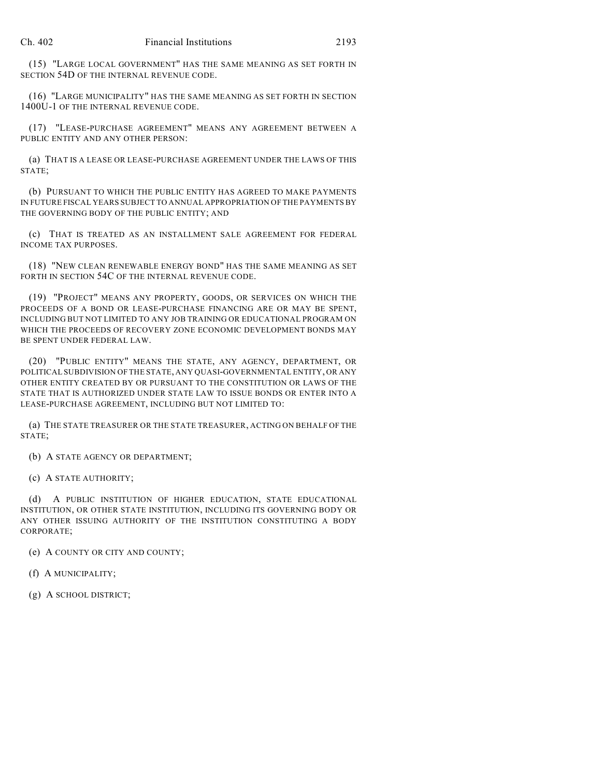(15) "LARGE LOCAL GOVERNMENT" HAS THE SAME MEANING AS SET FORTH IN SECTION 54D OF THE INTERNAL REVENUE CODE.

(16) "LARGE MUNICIPALITY" HAS THE SAME MEANING AS SET FORTH IN SECTION 1400U-1 OF THE INTERNAL REVENUE CODE.

(17) "LEASE-PURCHASE AGREEMENT" MEANS ANY AGREEMENT BETWEEN A PUBLIC ENTITY AND ANY OTHER PERSON:

(a) THAT IS A LEASE OR LEASE-PURCHASE AGREEMENT UNDER THE LAWS OF THIS STATE;

(b) PURSUANT TO WHICH THE PUBLIC ENTITY HAS AGREED TO MAKE PAYMENTS IN FUTURE FISCAL YEARS SUBJECT TO ANNUAL APPROPRIATION OF THE PAYMENTS BY THE GOVERNING BODY OF THE PUBLIC ENTITY; AND

(c) THAT IS TREATED AS AN INSTALLMENT SALE AGREEMENT FOR FEDERAL INCOME TAX PURPOSES.

(18) "NEW CLEAN RENEWABLE ENERGY BOND" HAS THE SAME MEANING AS SET FORTH IN SECTION 54C OF THE INTERNAL REVENUE CODE.

(19) "PROJECT" MEANS ANY PROPERTY, GOODS, OR SERVICES ON WHICH THE PROCEEDS OF A BOND OR LEASE-PURCHASE FINANCING ARE OR MAY BE SPENT, INCLUDING BUT NOT LIMITED TO ANY JOB TRAINING OR EDUCATIONAL PROGRAM ON WHICH THE PROCEEDS OF RECOVERY ZONE ECONOMIC DEVELOPMENT BONDS MAY BE SPENT UNDER FEDERAL LAW.

(20) "PUBLIC ENTITY" MEANS THE STATE, ANY AGENCY, DEPARTMENT, OR POLITICAL SUBDIVISION OF THE STATE, ANY QUASI-GOVERNMENTAL ENTITY, OR ANY OTHER ENTITY CREATED BY OR PURSUANT TO THE CONSTITUTION OR LAWS OF THE STATE THAT IS AUTHORIZED UNDER STATE LAW TO ISSUE BONDS OR ENTER INTO A LEASE-PURCHASE AGREEMENT, INCLUDING BUT NOT LIMITED TO:

(a) THE STATE TREASURER OR THE STATE TREASURER, ACTING ON BEHALF OF THE STATE;

(b) A STATE AGENCY OR DEPARTMENT;

(c) A STATE AUTHORITY;

(d) A PUBLIC INSTITUTION OF HIGHER EDUCATION, STATE EDUCATIONAL INSTITUTION, OR OTHER STATE INSTITUTION, INCLUDING ITS GOVERNING BODY OR ANY OTHER ISSUING AUTHORITY OF THE INSTITUTION CONSTITUTING A BODY CORPORATE;

(e) A COUNTY OR CITY AND COUNTY;

(f) A MUNICIPALITY;

(g) A SCHOOL DISTRICT;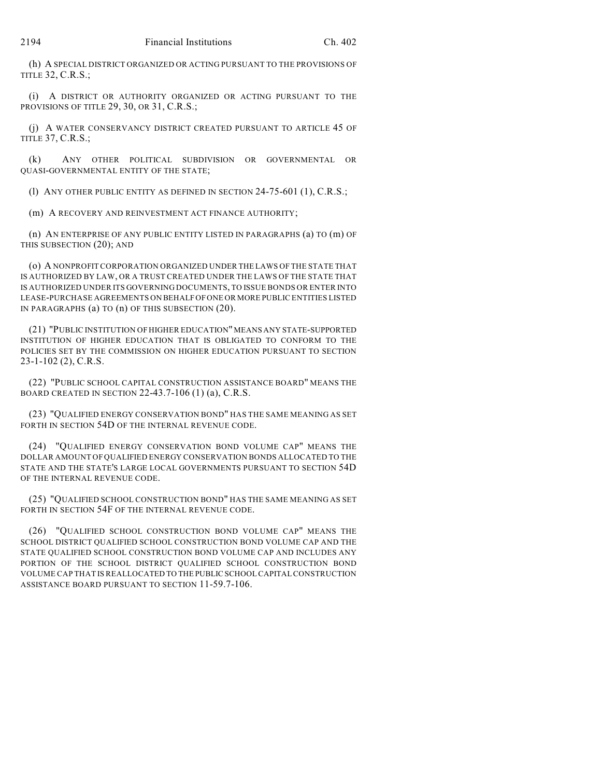(h) A SPECIAL DISTRICT ORGANIZED OR ACTING PURSUANT TO THE PROVISIONS OF TITLE 32, C.R.S.;

(i) A DISTRICT OR AUTHORITY ORGANIZED OR ACTING PURSUANT TO THE PROVISIONS OF TITLE 29, 30, OR 31, C.R.S.;

(j) A WATER CONSERVANCY DISTRICT CREATED PURSUANT TO ARTICLE 45 OF TITLE 37, C.R.S.;

(k) ANY OTHER POLITICAL SUBDIVISION OR GOVERNMENTAL OR QUASI-GOVERNMENTAL ENTITY OF THE STATE;

(l) ANY OTHER PUBLIC ENTITY AS DEFINED IN SECTION 24-75-601 (1), C.R.S.;

(m) A RECOVERY AND REINVESTMENT ACT FINANCE AUTHORITY;

(n) AN ENTERPRISE OF ANY PUBLIC ENTITY LISTED IN PARAGRAPHS (a) TO (m) OF THIS SUBSECTION (20); AND

(o) A NONPROFIT CORPORATION ORGANIZED UNDER THE LAWS OF THE STATE THAT IS AUTHORIZED BY LAW, OR A TRUST CREATED UNDER THE LAWS OF THE STATE THAT IS AUTHORIZED UNDER ITS GOVERNING DOCUMENTS, TO ISSUE BONDS OR ENTER INTO LEASE-PURCHASE AGREEMENTS ON BEHALF OF ONE OR MORE PUBLIC ENTITIES LISTED IN PARAGRAPHS (a) TO (n) OF THIS SUBSECTION (20).

(21) "PUBLIC INSTITUTION OF HIGHER EDUCATION" MEANS ANY STATE-SUPPORTED INSTITUTION OF HIGHER EDUCATION THAT IS OBLIGATED TO CONFORM TO THE POLICIES SET BY THE COMMISSION ON HIGHER EDUCATION PURSUANT TO SECTION 23-1-102 (2), C.R.S.

(22) "PUBLIC SCHOOL CAPITAL CONSTRUCTION ASSISTANCE BOARD" MEANS THE BOARD CREATED IN SECTION 22-43.7-106 (1) (a), C.R.S.

(23) "QUALIFIED ENERGY CONSERVATION BOND" HAS THE SAME MEANING AS SET FORTH IN SECTION 54D OF THE INTERNAL REVENUE CODE.

(24) "QUALIFIED ENERGY CONSERVATION BOND VOLUME CAP" MEANS THE DOLLAR AMOUNT OF QUALIFIED ENERGY CONSERVATION BONDS ALLOCATED TO THE STATE AND THE STATE'S LARGE LOCAL GOVERNMENTS PURSUANT TO SECTION 54D OF THE INTERNAL REVENUE CODE.

(25) "QUALIFIED SCHOOL CONSTRUCTION BOND" HAS THE SAME MEANING AS SET FORTH IN SECTION 54F OF THE INTERNAL REVENUE CODE.

(26) "QUALIFIED SCHOOL CONSTRUCTION BOND VOLUME CAP" MEANS THE SCHOOL DISTRICT QUALIFIED SCHOOL CONSTRUCTION BOND VOLUME CAP AND THE STATE QUALIFIED SCHOOL CONSTRUCTION BOND VOLUME CAP AND INCLUDES ANY PORTION OF THE SCHOOL DISTRICT QUALIFIED SCHOOL CONSTRUCTION BOND VOLUME CAP THAT IS REALLOCATED TO THE PUBLIC SCHOOL CAPITAL CONSTRUCTION ASSISTANCE BOARD PURSUANT TO SECTION 11-59.7-106.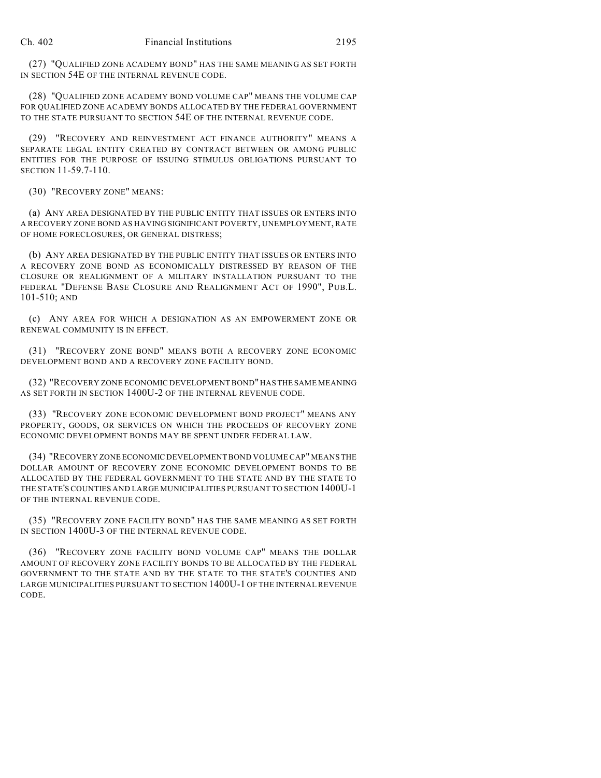(27) "QUALIFIED ZONE ACADEMY BOND" HAS THE SAME MEANING AS SET FORTH IN SECTION 54E OF THE INTERNAL REVENUE CODE.

(28) "QUALIFIED ZONE ACADEMY BOND VOLUME CAP" MEANS THE VOLUME CAP FOR QUALIFIED ZONE ACADEMY BONDS ALLOCATED BY THE FEDERAL GOVERNMENT TO THE STATE PURSUANT TO SECTION 54E OF THE INTERNAL REVENUE CODE.

(29) "RECOVERY AND REINVESTMENT ACT FINANCE AUTHORITY" MEANS A SEPARATE LEGAL ENTITY CREATED BY CONTRACT BETWEEN OR AMONG PUBLIC ENTITIES FOR THE PURPOSE OF ISSUING STIMULUS OBLIGATIONS PURSUANT TO SECTION 11-59.7-110.

(30) "RECOVERY ZONE" MEANS:

(a) ANY AREA DESIGNATED BY THE PUBLIC ENTITY THAT ISSUES OR ENTERS INTO A RECOVERY ZONE BOND AS HAVING SIGNIFICANT POVERTY, UNEMPLOYMENT, RATE OF HOME FORECLOSURES, OR GENERAL DISTRESS;

(b) ANY AREA DESIGNATED BY THE PUBLIC ENTITY THAT ISSUES OR ENTERS INTO A RECOVERY ZONE BOND AS ECONOMICALLY DISTRESSED BY REASON OF THE CLOSURE OR REALIGNMENT OF A MILITARY INSTALLATION PURSUANT TO THE FEDERAL "DEFENSE BASE CLOSURE AND REALIGNMENT ACT OF 1990", PUB.L. 101-510; AND

(c) ANY AREA FOR WHICH A DESIGNATION AS AN EMPOWERMENT ZONE OR RENEWAL COMMUNITY IS IN EFFECT.

(31) "RECOVERY ZONE BOND" MEANS BOTH A RECOVERY ZONE ECONOMIC DEVELOPMENT BOND AND A RECOVERY ZONE FACILITY BOND.

(32) "RECOVERY ZONE ECONOMIC DEVELOPMENT BOND" HAS THE SAME MEANING AS SET FORTH IN SECTION 1400U-2 OF THE INTERNAL REVENUE CODE.

(33) "RECOVERY ZONE ECONOMIC DEVELOPMENT BOND PROJECT" MEANS ANY PROPERTY, GOODS, OR SERVICES ON WHICH THE PROCEEDS OF RECOVERY ZONE ECONOMIC DEVELOPMENT BONDS MAY BE SPENT UNDER FEDERAL LAW.

(34) "RECOVERY ZONE ECONOMIC DEVELOPMENT BOND VOLUME CAP" MEANS THE DOLLAR AMOUNT OF RECOVERY ZONE ECONOMIC DEVELOPMENT BONDS TO BE ALLOCATED BY THE FEDERAL GOVERNMENT TO THE STATE AND BY THE STATE TO THE STATE'S COUNTIES AND LARGE MUNICIPALITIES PURSUANT TO SECTION 1400U-1 OF THE INTERNAL REVENUE CODE.

(35) "RECOVERY ZONE FACILITY BOND" HAS THE SAME MEANING AS SET FORTH IN SECTION 1400U-3 OF THE INTERNAL REVENUE CODE.

(36) "RECOVERY ZONE FACILITY BOND VOLUME CAP" MEANS THE DOLLAR AMOUNT OF RECOVERY ZONE FACILITY BONDS TO BE ALLOCATED BY THE FEDERAL GOVERNMENT TO THE STATE AND BY THE STATE TO THE STATE'S COUNTIES AND LARGE MUNICIPALITIES PURSUANT TO SECTION 1400U-1 OF THE INTERNAL REVENUE CODE.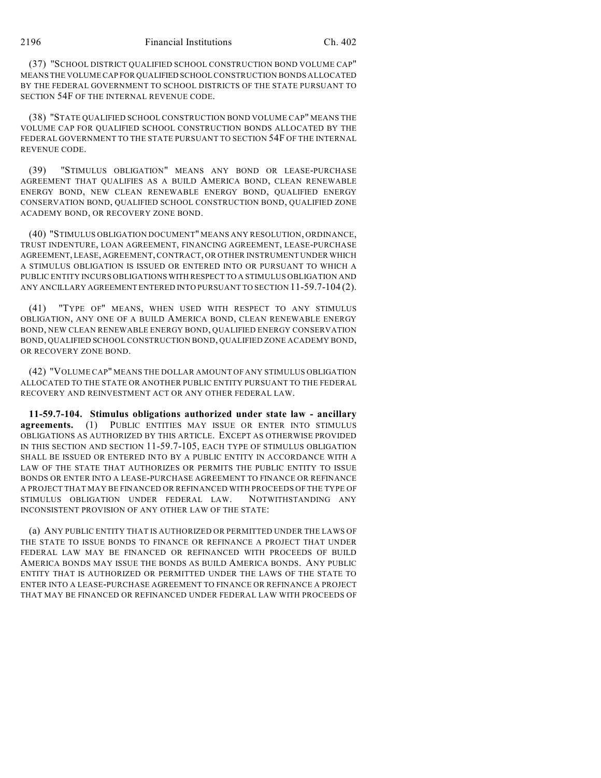(37) "SCHOOL DISTRICT QUALIFIED SCHOOL CONSTRUCTION BOND VOLUME CAP" MEANS THE VOLUME CAP FOR QUALIFIED SCHOOL CONSTRUCTION BONDS ALLOCATED BY THE FEDERAL GOVERNMENT TO SCHOOL DISTRICTS OF THE STATE PURSUANT TO SECTION 54F OF THE INTERNAL REVENUE CODE.

(38) "STATE QUALIFIED SCHOOL CONSTRUCTION BOND VOLUME CAP" MEANS THE VOLUME CAP FOR QUALIFIED SCHOOL CONSTRUCTION BONDS ALLOCATED BY THE FEDERAL GOVERNMENT TO THE STATE PURSUANT TO SECTION 54F OF THE INTERNAL REVENUE CODE.

(39) "STIMULUS OBLIGATION" MEANS ANY BOND OR LEASE-PURCHASE AGREEMENT THAT QUALIFIES AS A BUILD AMERICA BOND, CLEAN RENEWABLE ENERGY BOND, NEW CLEAN RENEWABLE ENERGY BOND, QUALIFIED ENERGY CONSERVATION BOND, QUALIFIED SCHOOL CONSTRUCTION BOND, QUALIFIED ZONE ACADEMY BOND, OR RECOVERY ZONE BOND.

(40) "STIMULUS OBLIGATION DOCUMENT" MEANS ANY RESOLUTION, ORDINANCE, TRUST INDENTURE, LOAN AGREEMENT, FINANCING AGREEMENT, LEASE-PURCHASE AGREEMENT, LEASE, AGREEMENT, CONTRACT, OR OTHER INSTRUMENT UNDER WHICH A STIMULUS OBLIGATION IS ISSUED OR ENTERED INTO OR PURSUANT TO WHICH A PUBLIC ENTITY INCURS OBLIGATIONS WITH RESPECT TO A STIMULUS OBLIGATION AND ANY ANCILLARY AGREEMENT ENTERED INTO PURSUANT TO SECTION 11-59.7-104 (2).

"TYPE OF" MEANS, WHEN USED WITH RESPECT TO ANY STIMULUS OBLIGATION, ANY ONE OF A BUILD AMERICA BOND, CLEAN RENEWABLE ENERGY BOND, NEW CLEAN RENEWABLE ENERGY BOND, QUALIFIED ENERGY CONSERVATION BOND, QUALIFIED SCHOOL CONSTRUCTION BOND, QUALIFIED ZONE ACADEMY BOND, OR RECOVERY ZONE BOND.

(42) "VOLUME CAP" MEANS THE DOLLAR AMOUNT OF ANY STIMULUS OBLIGATION ALLOCATED TO THE STATE OR ANOTHER PUBLIC ENTITY PURSUANT TO THE FEDERAL RECOVERY AND REINVESTMENT ACT OR ANY OTHER FEDERAL LAW.

**11-59.7-104. Stimulus obligations authorized under state law - ancillary agreements.** (1) PUBLIC ENTITIES MAY ISSUE OR ENTER INTO STIMULUS OBLIGATIONS AS AUTHORIZED BY THIS ARTICLE. EXCEPT AS OTHERWISE PROVIDED IN THIS SECTION AND SECTION 11-59.7-105, EACH TYPE OF STIMULUS OBLIGATION SHALL BE ISSUED OR ENTERED INTO BY A PUBLIC ENTITY IN ACCORDANCE WITH A LAW OF THE STATE THAT AUTHORIZES OR PERMITS THE PUBLIC ENTITY TO ISSUE BONDS OR ENTER INTO A LEASE-PURCHASE AGREEMENT TO FINANCE OR REFINANCE A PROJECT THAT MAY BE FINANCED OR REFINANCED WITH PROCEEDS OF THE TYPE OF STIMULUS OBLIGATION UNDER FEDERAL LAW. NOTWITHSTANDING ANY INCONSISTENT PROVISION OF ANY OTHER LAW OF THE STATE:

(a) ANY PUBLIC ENTITY THAT IS AUTHORIZED OR PERMITTED UNDER THE LAWS OF THE STATE TO ISSUE BONDS TO FINANCE OR REFINANCE A PROJECT THAT UNDER FEDERAL LAW MAY BE FINANCED OR REFINANCED WITH PROCEEDS OF BUILD AMERICA BONDS MAY ISSUE THE BONDS AS BUILD AMERICA BONDS. ANY PUBLIC ENTITY THAT IS AUTHORIZED OR PERMITTED UNDER THE LAWS OF THE STATE TO ENTER INTO A LEASE-PURCHASE AGREEMENT TO FINANCE OR REFINANCE A PROJECT THAT MAY BE FINANCED OR REFINANCED UNDER FEDERAL LAW WITH PROCEEDS OF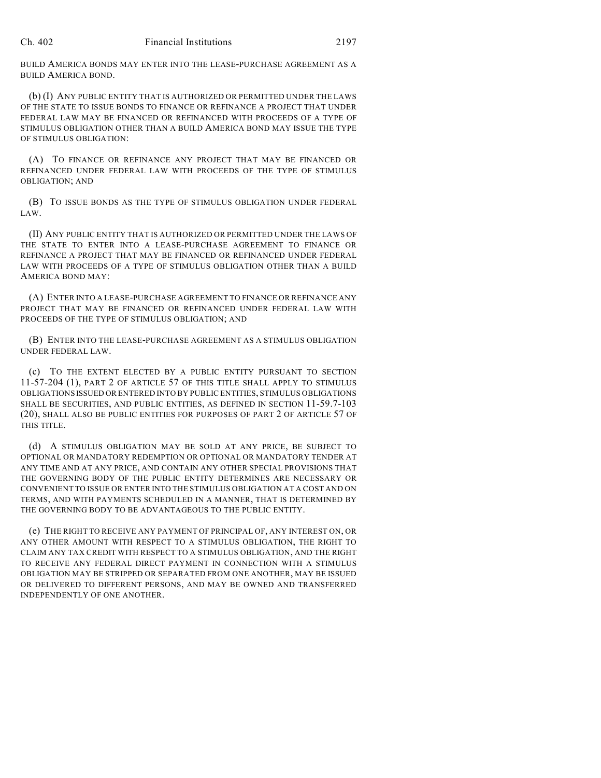BUILD AMERICA BONDS MAY ENTER INTO THE LEASE-PURCHASE AGREEMENT AS A BUILD AMERICA BOND.

(b) (I) ANY PUBLIC ENTITY THAT IS AUTHORIZED OR PERMITTED UNDER THE LAWS OF THE STATE TO ISSUE BONDS TO FINANCE OR REFINANCE A PROJECT THAT UNDER FEDERAL LAW MAY BE FINANCED OR REFINANCED WITH PROCEEDS OF A TYPE OF STIMULUS OBLIGATION OTHER THAN A BUILD AMERICA BOND MAY ISSUE THE TYPE OF STIMULUS OBLIGATION:

(A) TO FINANCE OR REFINANCE ANY PROJECT THAT MAY BE FINANCED OR REFINANCED UNDER FEDERAL LAW WITH PROCEEDS OF THE TYPE OF STIMULUS OBLIGATION; AND

(B) TO ISSUE BONDS AS THE TYPE OF STIMULUS OBLIGATION UNDER FEDERAL LAW.

(II) ANY PUBLIC ENTITY THAT IS AUTHORIZED OR PERMITTED UNDER THE LAWS OF THE STATE TO ENTER INTO A LEASE-PURCHASE AGREEMENT TO FINANCE OR REFINANCE A PROJECT THAT MAY BE FINANCED OR REFINANCED UNDER FEDERAL LAW WITH PROCEEDS OF A TYPE OF STIMULUS OBLIGATION OTHER THAN A BUILD AMERICA BOND MAY:

(A) ENTER INTO A LEASE-PURCHASE AGREEMENT TO FINANCE OR REFINANCE ANY PROJECT THAT MAY BE FINANCED OR REFINANCED UNDER FEDERAL LAW WITH PROCEEDS OF THE TYPE OF STIMULUS OBLIGATION; AND

(B) ENTER INTO THE LEASE-PURCHASE AGREEMENT AS A STIMULUS OBLIGATION UNDER FEDERAL LAW.

(c) TO THE EXTENT ELECTED BY A PUBLIC ENTITY PURSUANT TO SECTION 11-57-204 (1), PART 2 OF ARTICLE 57 OF THIS TITLE SHALL APPLY TO STIMULUS OBLIGATIONS ISSUED OR ENTERED INTO BY PUBLIC ENTITIES, STIMULUS OBLIGATIONS SHALL BE SECURITIES, AND PUBLIC ENTITIES, AS DEFINED IN SECTION 11-59.7-103 (20), SHALL ALSO BE PUBLIC ENTITIES FOR PURPOSES OF PART 2 OF ARTICLE 57 OF THIS TITLE.

(d) A STIMULUS OBLIGATION MAY BE SOLD AT ANY PRICE, BE SUBJECT TO OPTIONAL OR MANDATORY REDEMPTION OR OPTIONAL OR MANDATORY TENDER AT ANY TIME AND AT ANY PRICE, AND CONTAIN ANY OTHER SPECIAL PROVISIONS THAT THE GOVERNING BODY OF THE PUBLIC ENTITY DETERMINES ARE NECESSARY OR CONVENIENT TO ISSUE OR ENTER INTO THE STIMULUS OBLIGATION AT A COST AND ON TERMS, AND WITH PAYMENTS SCHEDULED IN A MANNER, THAT IS DETERMINED BY THE GOVERNING BODY TO BE ADVANTAGEOUS TO THE PUBLIC ENTITY.

(e) THE RIGHT TO RECEIVE ANY PAYMENT OF PRINCIPAL OF, ANY INTEREST ON, OR ANY OTHER AMOUNT WITH RESPECT TO A STIMULUS OBLIGATION, THE RIGHT TO CLAIM ANY TAX CREDIT WITH RESPECT TO A STIMULUS OBLIGATION, AND THE RIGHT TO RECEIVE ANY FEDERAL DIRECT PAYMENT IN CONNECTION WITH A STIMULUS OBLIGATION MAY BE STRIPPED OR SEPARATED FROM ONE ANOTHER, MAY BE ISSUED OR DELIVERED TO DIFFERENT PERSONS, AND MAY BE OWNED AND TRANSFERRED INDEPENDENTLY OF ONE ANOTHER.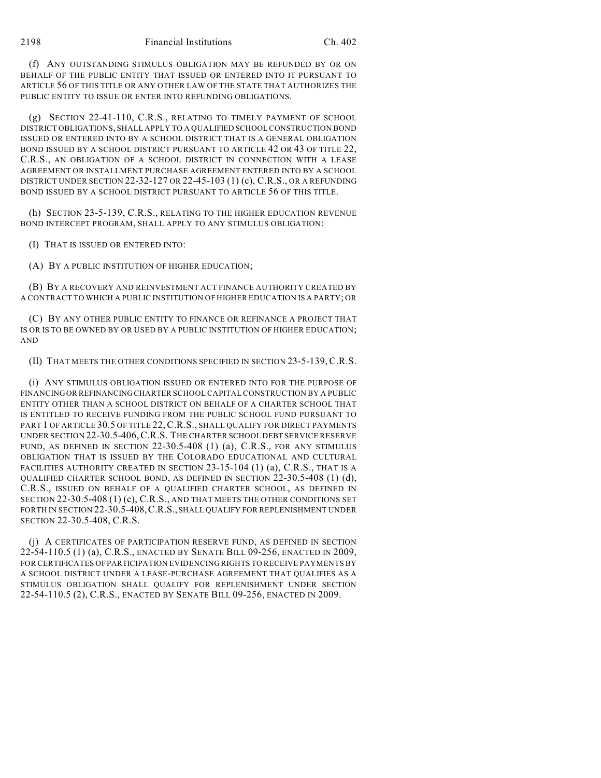(f) ANY OUTSTANDING STIMULUS OBLIGATION MAY BE REFUNDED BY OR ON BEHALF OF THE PUBLIC ENTITY THAT ISSUED OR ENTERED INTO IT PURSUANT TO ARTICLE 56 OF THIS TITLE OR ANY OTHER LAW OF THE STATE THAT AUTHORIZES THE PUBLIC ENTITY TO ISSUE OR ENTER INTO REFUNDING OBLIGATIONS.

(g) SECTION 22-41-110, C.R.S., RELATING TO TIMELY PAYMENT OF SCHOOL DISTRICT OBLIGATIONS, SHALL APPLY TO A QUALIFIED SCHOOL CONSTRUCTION BOND ISSUED OR ENTERED INTO BY A SCHOOL DISTRICT THAT IS A GENERAL OBLIGATION BOND ISSUED BY A SCHOOL DISTRICT PURSUANT TO ARTICLE 42 OR 43 OF TITLE 22, C.R.S., AN OBLIGATION OF A SCHOOL DISTRICT IN CONNECTION WITH A LEASE AGREEMENT OR INSTALLMENT PURCHASE AGREEMENT ENTERED INTO BY A SCHOOL DISTRICT UNDER SECTION 22-32-127 OR 22-45-103 (1) (c), C.R.S., OR A REFUNDING BOND ISSUED BY A SCHOOL DISTRICT PURSUANT TO ARTICLE 56 OF THIS TITLE.

(h) SECTION 23-5-139, C.R.S., RELATING TO THE HIGHER EDUCATION REVENUE BOND INTERCEPT PROGRAM, SHALL APPLY TO ANY STIMULUS OBLIGATION:

(I) THAT IS ISSUED OR ENTERED INTO:

(A) BY A PUBLIC INSTITUTION OF HIGHER EDUCATION;

(B) BY A RECOVERY AND REINVESTMENT ACT FINANCE AUTHORITY CREATED BY A CONTRACT TO WHICH A PUBLIC INSTITUTION OF HIGHER EDUCATION IS A PARTY; OR

(C) BY ANY OTHER PUBLIC ENTITY TO FINANCE OR REFINANCE A PROJECT THAT IS OR IS TO BE OWNED BY OR USED BY A PUBLIC INSTITUTION OF HIGHER EDUCATION; AND

(II) THAT MEETS THE OTHER CONDITIONS SPECIFIED IN SECTION 23-5-139,C.R.S.

(i) ANY STIMULUS OBLIGATION ISSUED OR ENTERED INTO FOR THE PURPOSE OF FINANCING OR REFINANCING CHARTER SCHOOL CAPITAL CONSTRUCTION BY A PUBLIC ENTITY OTHER THAN A SCHOOL DISTRICT ON BEHALF OF A CHARTER SCHOOL THAT IS ENTITLED TO RECEIVE FUNDING FROM THE PUBLIC SCHOOL FUND PURSUANT TO PART 1 OF ARTICLE 30.5 OF TITLE 22, C.R.S., SHALL QUALIFY FOR DIRECT PAYMENTS UNDER SECTION 22-30.5-406,C.R.S. THE CHARTER SCHOOL DEBT SERVICE RESERVE FUND, AS DEFINED IN SECTION 22-30.5-408 (1) (a), C.R.S., FOR ANY STIMULUS OBLIGATION THAT IS ISSUED BY THE COLORADO EDUCATIONAL AND CULTURAL FACILITIES AUTHORITY CREATED IN SECTION 23-15-104 (1) (a), C.R.S., THAT IS A QUALIFIED CHARTER SCHOOL BOND, AS DEFINED IN SECTION 22-30.5-408 (1) (d), C.R.S., ISSUED ON BEHALF OF A QUALIFIED CHARTER SCHOOL, AS DEFINED IN SECTION 22-30.5-408 (1) (c), C.R.S., AND THAT MEETS THE OTHER CONDITIONS SET FORTH IN SECTION 22-30.5-408,C.R.S., SHALL QUALIFY FOR REPLENISHMENT UNDER SECTION 22-30.5-408, C.R.S.

(j) A CERTIFICATES OF PARTICIPATION RESERVE FUND, AS DEFINED IN SECTION 22-54-110.5 (1) (a), C.R.S., ENACTED BY SENATE BILL 09-256, ENACTED IN 2009, FOR CERTIFICATES OF PARTICIPATION EVIDENCING RIGHTS TO RECEIVE PAYMENTS BY A SCHOOL DISTRICT UNDER A LEASE-PURCHASE AGREEMENT THAT QUALIFIES AS A STIMULUS OBLIGATION SHALL QUALIFY FOR REPLENISHMENT UNDER SECTION 22-54-110.5 (2), C.R.S., ENACTED BY SENATE BILL 09-256, ENACTED IN 2009.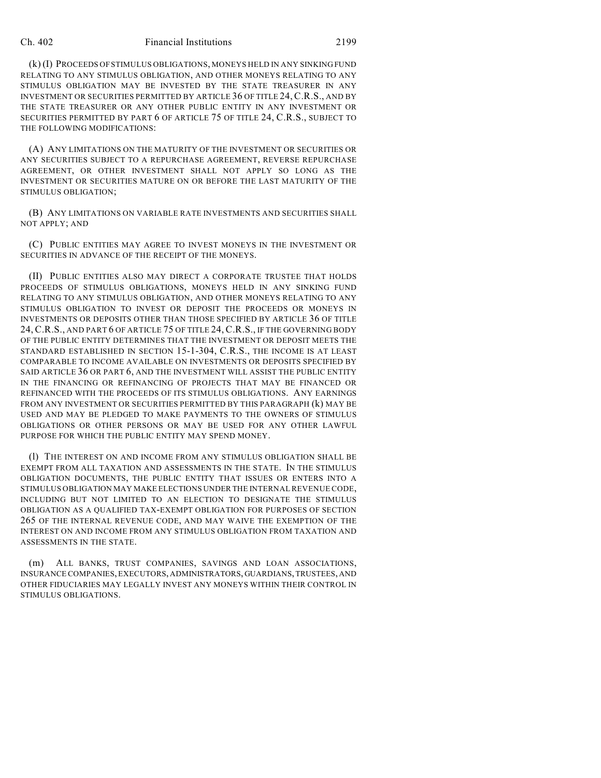#### Ch. 402 Financial Institutions 2199

(k) (I) PROCEEDS OF STIMULUS OBLIGATIONS, MONEYS HELD IN ANY SINKING FUND RELATING TO ANY STIMULUS OBLIGATION, AND OTHER MONEYS RELATING TO ANY STIMULUS OBLIGATION MAY BE INVESTED BY THE STATE TREASURER IN ANY INVESTMENT OR SECURITIES PERMITTED BY ARTICLE 36 OF TITLE 24,C.R.S., AND BY THE STATE TREASURER OR ANY OTHER PUBLIC ENTITY IN ANY INVESTMENT OR SECURITIES PERMITTED BY PART 6 OF ARTICLE 75 OF TITLE 24, C.R.S., SUBJECT TO THE FOLLOWING MODIFICATIONS:

(A) ANY LIMITATIONS ON THE MATURITY OF THE INVESTMENT OR SECURITIES OR ANY SECURITIES SUBJECT TO A REPURCHASE AGREEMENT, REVERSE REPURCHASE AGREEMENT, OR OTHER INVESTMENT SHALL NOT APPLY SO LONG AS THE INVESTMENT OR SECURITIES MATURE ON OR BEFORE THE LAST MATURITY OF THE STIMULUS OBLIGATION;

(B) ANY LIMITATIONS ON VARIABLE RATE INVESTMENTS AND SECURITIES SHALL NOT APPLY; AND

(C) PUBLIC ENTITIES MAY AGREE TO INVEST MONEYS IN THE INVESTMENT OR SECURITIES IN ADVANCE OF THE RECEIPT OF THE MONEYS.

(II) PUBLIC ENTITIES ALSO MAY DIRECT A CORPORATE TRUSTEE THAT HOLDS PROCEEDS OF STIMULUS OBLIGATIONS, MONEYS HELD IN ANY SINKING FUND RELATING TO ANY STIMULUS OBLIGATION, AND OTHER MONEYS RELATING TO ANY STIMULUS OBLIGATION TO INVEST OR DEPOSIT THE PROCEEDS OR MONEYS IN INVESTMENTS OR DEPOSITS OTHER THAN THOSE SPECIFIED BY ARTICLE 36 OF TITLE 24, C.R.S., AND PART 6 OF ARTICLE 75 OF TITLE 24, C.R.S., IF THE GOVERNING BODY OF THE PUBLIC ENTITY DETERMINES THAT THE INVESTMENT OR DEPOSIT MEETS THE STANDARD ESTABLISHED IN SECTION 15-1-304, C.R.S., THE INCOME IS AT LEAST COMPARABLE TO INCOME AVAILABLE ON INVESTMENTS OR DEPOSITS SPECIFIED BY SAID ARTICLE 36 OR PART 6, AND THE INVESTMENT WILL ASSIST THE PUBLIC ENTITY IN THE FINANCING OR REFINANCING OF PROJECTS THAT MAY BE FINANCED OR REFINANCED WITH THE PROCEEDS OF ITS STIMULUS OBLIGATIONS. ANY EARNINGS FROM ANY INVESTMENT OR SECURITIES PERMITTED BY THIS PARAGRAPH (k) MAY BE USED AND MAY BE PLEDGED TO MAKE PAYMENTS TO THE OWNERS OF STIMULUS OBLIGATIONS OR OTHER PERSONS OR MAY BE USED FOR ANY OTHER LAWFUL PURPOSE FOR WHICH THE PUBLIC ENTITY MAY SPEND MONEY.

(l) THE INTEREST ON AND INCOME FROM ANY STIMULUS OBLIGATION SHALL BE EXEMPT FROM ALL TAXATION AND ASSESSMENTS IN THE STATE. IN THE STIMULUS OBLIGATION DOCUMENTS, THE PUBLIC ENTITY THAT ISSUES OR ENTERS INTO A STIMULUS OBLIGATION MAY MAKE ELECTIONS UNDER THE INTERNAL REVENUE CODE, INCLUDING BUT NOT LIMITED TO AN ELECTION TO DESIGNATE THE STIMULUS OBLIGATION AS A QUALIFIED TAX-EXEMPT OBLIGATION FOR PURPOSES OF SECTION 265 OF THE INTERNAL REVENUE CODE, AND MAY WAIVE THE EXEMPTION OF THE INTEREST ON AND INCOME FROM ANY STIMULUS OBLIGATION FROM TAXATION AND ASSESSMENTS IN THE STATE.

(m) ALL BANKS, TRUST COMPANIES, SAVINGS AND LOAN ASSOCIATIONS, INSURANCE COMPANIES, EXECUTORS, ADMINISTRATORS, GUARDIANS, TRUSTEES, AND OTHER FIDUCIARIES MAY LEGALLY INVEST ANY MONEYS WITHIN THEIR CONTROL IN STIMULUS OBLIGATIONS.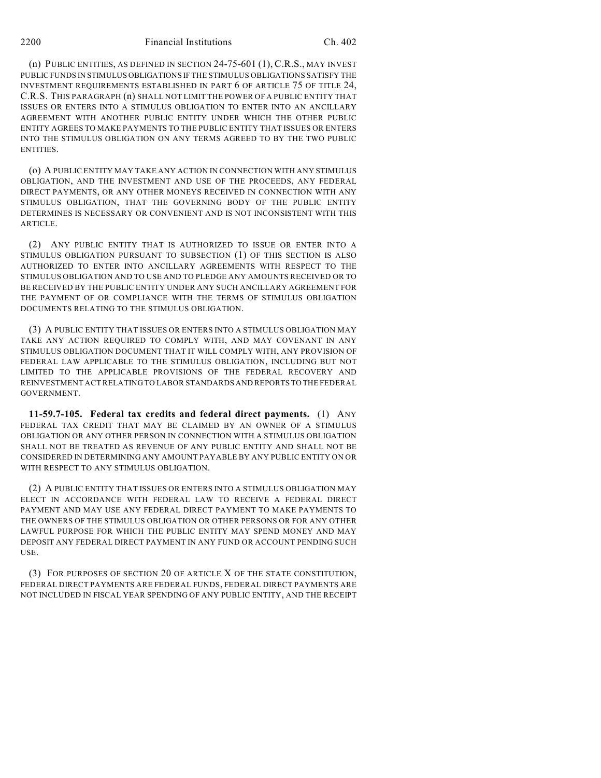(n) PUBLIC ENTITIES, AS DEFINED IN SECTION 24-75-601 (1), C.R.S., MAY INVEST PUBLIC FUNDS IN STIMULUS OBLIGATIONS IF THE STIMULUS OBLIGATIONS SATISFY THE INVESTMENT REQUIREMENTS ESTABLISHED IN PART 6 OF ARTICLE 75 OF TITLE 24, C.R.S. THIS PARAGRAPH (n) SHALL NOT LIMIT THE POWER OF A PUBLIC ENTITY THAT ISSUES OR ENTERS INTO A STIMULUS OBLIGATION TO ENTER INTO AN ANCILLARY AGREEMENT WITH ANOTHER PUBLIC ENTITY UNDER WHICH THE OTHER PUBLIC ENTITY AGREES TO MAKE PAYMENTS TO THE PUBLIC ENTITY THAT ISSUES OR ENTERS INTO THE STIMULUS OBLIGATION ON ANY TERMS AGREED TO BY THE TWO PUBLIC ENTITIES.

(o) A PUBLIC ENTITY MAY TAKE ANY ACTION IN CONNECTION WITH ANY STIMULUS OBLIGATION, AND THE INVESTMENT AND USE OF THE PROCEEDS, ANY FEDERAL DIRECT PAYMENTS, OR ANY OTHER MONEYS RECEIVED IN CONNECTION WITH ANY STIMULUS OBLIGATION, THAT THE GOVERNING BODY OF THE PUBLIC ENTITY DETERMINES IS NECESSARY OR CONVENIENT AND IS NOT INCONSISTENT WITH THIS ARTICLE.

(2) ANY PUBLIC ENTITY THAT IS AUTHORIZED TO ISSUE OR ENTER INTO A STIMULUS OBLIGATION PURSUANT TO SUBSECTION (1) OF THIS SECTION IS ALSO AUTHORIZED TO ENTER INTO ANCILLARY AGREEMENTS WITH RESPECT TO THE STIMULUS OBLIGATION AND TO USE AND TO PLEDGE ANY AMOUNTS RECEIVED OR TO BE RECEIVED BY THE PUBLIC ENTITY UNDER ANY SUCH ANCILLARY AGREEMENT FOR THE PAYMENT OF OR COMPLIANCE WITH THE TERMS OF STIMULUS OBLIGATION DOCUMENTS RELATING TO THE STIMULUS OBLIGATION.

(3) A PUBLIC ENTITY THAT ISSUES OR ENTERS INTO A STIMULUS OBLIGATION MAY TAKE ANY ACTION REQUIRED TO COMPLY WITH, AND MAY COVENANT IN ANY STIMULUS OBLIGATION DOCUMENT THAT IT WILL COMPLY WITH, ANY PROVISION OF FEDERAL LAW APPLICABLE TO THE STIMULUS OBLIGATION, INCLUDING BUT NOT LIMITED TO THE APPLICABLE PROVISIONS OF THE FEDERAL RECOVERY AND REINVESTMENT ACT RELATING TO LABOR STANDARDS AND REPORTS TO THE FEDERAL GOVERNMENT.

**11-59.7-105. Federal tax credits and federal direct payments.** (1) ANY FEDERAL TAX CREDIT THAT MAY BE CLAIMED BY AN OWNER OF A STIMULUS OBLIGATION OR ANY OTHER PERSON IN CONNECTION WITH A STIMULUS OBLIGATION SHALL NOT BE TREATED AS REVENUE OF ANY PUBLIC ENTITY AND SHALL NOT BE CONSIDERED IN DETERMINING ANY AMOUNT PAYABLE BY ANY PUBLIC ENTITY ON OR WITH RESPECT TO ANY STIMULUS OBLIGATION.

(2) A PUBLIC ENTITY THAT ISSUES OR ENTERS INTO A STIMULUS OBLIGATION MAY ELECT IN ACCORDANCE WITH FEDERAL LAW TO RECEIVE A FEDERAL DIRECT PAYMENT AND MAY USE ANY FEDERAL DIRECT PAYMENT TO MAKE PAYMENTS TO THE OWNERS OF THE STIMULUS OBLIGATION OR OTHER PERSONS OR FOR ANY OTHER LAWFUL PURPOSE FOR WHICH THE PUBLIC ENTITY MAY SPEND MONEY AND MAY DEPOSIT ANY FEDERAL DIRECT PAYMENT IN ANY FUND OR ACCOUNT PENDING SUCH USE.

(3) FOR PURPOSES OF SECTION 20 OF ARTICLE X OF THE STATE CONSTITUTION, FEDERAL DIRECT PAYMENTS ARE FEDERAL FUNDS, FEDERAL DIRECT PAYMENTS ARE NOT INCLUDED IN FISCAL YEAR SPENDING OF ANY PUBLIC ENTITY, AND THE RECEIPT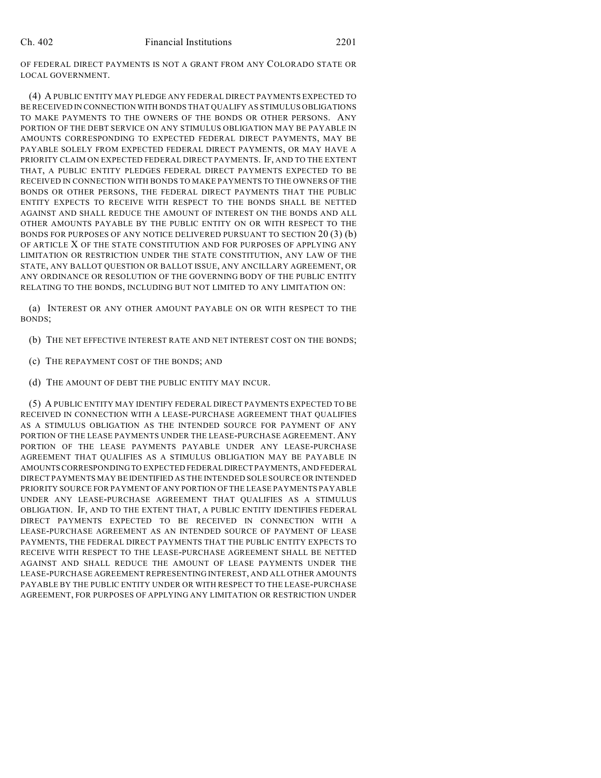OF FEDERAL DIRECT PAYMENTS IS NOT A GRANT FROM ANY COLORADO STATE OR LOCAL GOVERNMENT.

(4) A PUBLIC ENTITY MAY PLEDGE ANY FEDERAL DIRECT PAYMENTS EXPECTED TO BE RECEIVED IN CONNECTION WITH BONDS THAT QUALIFY AS STIMULUS OBLIGATIONS TO MAKE PAYMENTS TO THE OWNERS OF THE BONDS OR OTHER PERSONS. ANY PORTION OF THE DEBT SERVICE ON ANY STIMULUS OBLIGATION MAY BE PAYABLE IN AMOUNTS CORRESPONDING TO EXPECTED FEDERAL DIRECT PAYMENTS, MAY BE PAYABLE SOLELY FROM EXPECTED FEDERAL DIRECT PAYMENTS, OR MAY HAVE A PRIORITY CLAIM ON EXPECTED FEDERAL DIRECT PAYMENTS. IF, AND TO THE EXTENT THAT, A PUBLIC ENTITY PLEDGES FEDERAL DIRECT PAYMENTS EXPECTED TO BE RECEIVED IN CONNECTION WITH BONDS TO MAKE PAYMENTS TO THE OWNERS OF THE BONDS OR OTHER PERSONS, THE FEDERAL DIRECT PAYMENTS THAT THE PUBLIC ENTITY EXPECTS TO RECEIVE WITH RESPECT TO THE BONDS SHALL BE NETTED AGAINST AND SHALL REDUCE THE AMOUNT OF INTEREST ON THE BONDS AND ALL OTHER AMOUNTS PAYABLE BY THE PUBLIC ENTITY ON OR WITH RESPECT TO THE BONDS FOR PURPOSES OF ANY NOTICE DELIVERED PURSUANT TO SECTION 20 (3) (b) OF ARTICLE X OF THE STATE CONSTITUTION AND FOR PURPOSES OF APPLYING ANY LIMITATION OR RESTRICTION UNDER THE STATE CONSTITUTION, ANY LAW OF THE STATE, ANY BALLOT QUESTION OR BALLOT ISSUE, ANY ANCILLARY AGREEMENT, OR ANY ORDINANCE OR RESOLUTION OF THE GOVERNING BODY OF THE PUBLIC ENTITY RELATING TO THE BONDS, INCLUDING BUT NOT LIMITED TO ANY LIMITATION ON:

(a) INTEREST OR ANY OTHER AMOUNT PAYABLE ON OR WITH RESPECT TO THE BONDS;

(b) THE NET EFFECTIVE INTEREST RATE AND NET INTEREST COST ON THE BONDS;

- (c) THE REPAYMENT COST OF THE BONDS; AND
- (d) THE AMOUNT OF DEBT THE PUBLIC ENTITY MAY INCUR.

(5) A PUBLIC ENTITY MAY IDENTIFY FEDERAL DIRECT PAYMENTS EXPECTED TO BE RECEIVED IN CONNECTION WITH A LEASE-PURCHASE AGREEMENT THAT QUALIFIES AS A STIMULUS OBLIGATION AS THE INTENDED SOURCE FOR PAYMENT OF ANY PORTION OF THE LEASE PAYMENTS UNDER THE LEASE-PURCHASE AGREEMENT. ANY PORTION OF THE LEASE PAYMENTS PAYABLE UNDER ANY LEASE-PURCHASE AGREEMENT THAT QUALIFIES AS A STIMULUS OBLIGATION MAY BE PAYABLE IN AMOUNTS CORRESPONDING TO EXPECTED FEDERAL DIRECT PAYMENTS, AND FEDERAL DIRECT PAYMENTS MAY BE IDENTIFIED AS THE INTENDED SOLE SOURCE OR INTENDED PRIORITY SOURCE FOR PAYMENT OF ANY PORTION OF THE LEASE PAYMENTS PAYABLE UNDER ANY LEASE-PURCHASE AGREEMENT THAT QUALIFIES AS A STIMULUS OBLIGATION. IF, AND TO THE EXTENT THAT, A PUBLIC ENTITY IDENTIFIES FEDERAL DIRECT PAYMENTS EXPECTED TO BE RECEIVED IN CONNECTION WITH A LEASE-PURCHASE AGREEMENT AS AN INTENDED SOURCE OF PAYMENT OF LEASE PAYMENTS, THE FEDERAL DIRECT PAYMENTS THAT THE PUBLIC ENTITY EXPECTS TO RECEIVE WITH RESPECT TO THE LEASE-PURCHASE AGREEMENT SHALL BE NETTED AGAINST AND SHALL REDUCE THE AMOUNT OF LEASE PAYMENTS UNDER THE LEASE-PURCHASE AGREEMENT REPRESENTING INTEREST, AND ALL OTHER AMOUNTS PAYABLE BY THE PUBLIC ENTITY UNDER OR WITH RESPECT TO THE LEASE-PURCHASE AGREEMENT, FOR PURPOSES OF APPLYING ANY LIMITATION OR RESTRICTION UNDER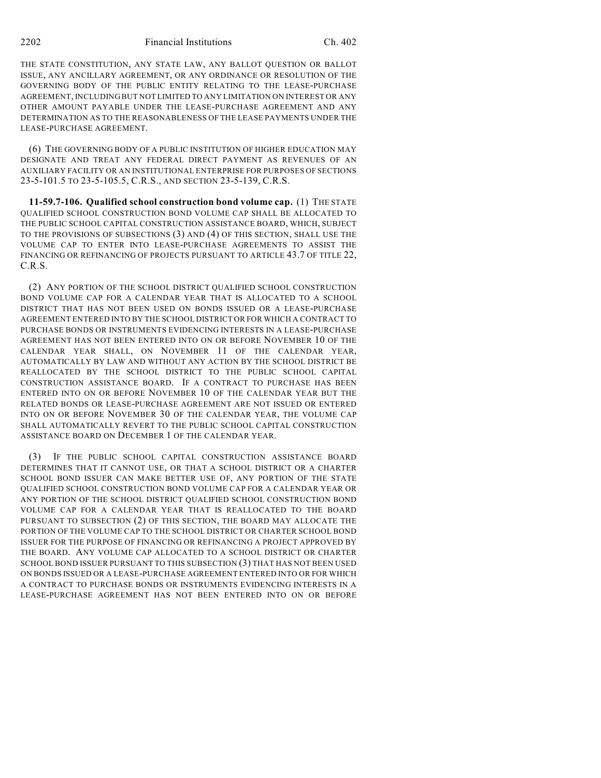THE STATE CONSTITUTION, ANY STATE LAW, ANY BALLOT QUESTION OR BALLOT ISSUE, ANY ANCILLARY AGREEMENT, OR ANY ORDINANCE OR RESOLUTION OF THE GOVERNING BODY OF THE PUBLIC ENTITY RELATING TO THE LEASE-PURCHASE AGREEMENT, INCLUDING BUT NOT LIMITED TO ANY LIMITATION ON INTEREST OR ANY OTHER AMOUNT PAYABLE UNDER THE LEASE-PURCHASE AGREEMENT AND ANY DETERMINATION AS TO THE REASONABLENESS OF THE LEASE PAYMENTS UNDER THE LEASE-PURCHASE AGREEMENT.

(6) THE GOVERNING BODY OF A PUBLIC INSTITUTION OF HIGHER EDUCATION MAY DESIGNATE AND TREAT ANY FEDERAL DIRECT PAYMENT AS REVENUES OF AN AUXILIARY FACILITY OR AN INSTITUTIONAL ENTERPRISE FOR PURPOSES OF SECTIONS 23-5-101.5 TO 23-5-105.5, C.R.S., AND SECTION 23-5-139, C.R.S.

**11-59.7-106. Qualified school construction bond volume cap.** (1) THE STATE QUALIFIED SCHOOL CONSTRUCTION BOND VOLUME CAP SHALL BE ALLOCATED TO THE PUBLIC SCHOOL CAPITAL CONSTRUCTION ASSISTANCE BOARD, WHICH, SUBJECT TO THE PROVISIONS OF SUBSECTIONS (3) AND (4) OF THIS SECTION, SHALL USE THE VOLUME CAP TO ENTER INTO LEASE-PURCHASE AGREEMENTS TO ASSIST THE FINANCING OR REFINANCING OF PROJECTS PURSUANT TO ARTICLE 43.7 OF TITLE 22, C.R.S.

(2) ANY PORTION OF THE SCHOOL DISTRICT QUALIFIED SCHOOL CONSTRUCTION BOND VOLUME CAP FOR A CALENDAR YEAR THAT IS ALLOCATED TO A SCHOOL DISTRICT THAT HAS NOT BEEN USED ON BONDS ISSUED OR A LEASE-PURCHASE AGREEMENT ENTERED INTO BY THE SCHOOL DISTRICT OR FOR WHICH A CONTRACT TO PURCHASE BONDS OR INSTRUMENTS EVIDENCING INTERESTS IN A LEASE-PURCHASE AGREEMENT HAS NOT BEEN ENTERED INTO ON OR BEFORE NOVEMBER 10 OF THE CALENDAR YEAR SHALL, ON NOVEMBER 11 OF THE CALENDAR YEAR, AUTOMATICALLY BY LAW AND WITHOUT ANY ACTION BY THE SCHOOL DISTRICT BE REALLOCATED BY THE SCHOOL DISTRICT TO THE PUBLIC SCHOOL CAPITAL CONSTRUCTION ASSISTANCE BOARD. IF A CONTRACT TO PURCHASE HAS BEEN ENTERED INTO ON OR BEFORE NOVEMBER 10 OF THE CALENDAR YEAR BUT THE RELATED BONDS OR LEASE-PURCHASE AGREEMENT ARE NOT ISSUED OR ENTERED INTO ON OR BEFORE NOVEMBER 30 OF THE CALENDAR YEAR, THE VOLUME CAP SHALL AUTOMATICALLY REVERT TO THE PUBLIC SCHOOL CAPITAL CONSTRUCTION ASSISTANCE BOARD ON DECEMBER 1 OF THE CALENDAR YEAR.

(3) IF THE PUBLIC SCHOOL CAPITAL CONSTRUCTION ASSISTANCE BOARD DETERMINES THAT IT CANNOT USE, OR THAT A SCHOOL DISTRICT OR A CHARTER SCHOOL BOND ISSUER CAN MAKE BETTER USE OF, ANY PORTION OF THE STATE QUALIFIED SCHOOL CONSTRUCTION BOND VOLUME CAP FOR A CALENDAR YEAR OR ANY PORTION OF THE SCHOOL DISTRICT QUALIFIED SCHOOL CONSTRUCTION BOND VOLUME CAP FOR A CALENDAR YEAR THAT IS REALLOCATED TO THE BOARD PURSUANT TO SUBSECTION (2) OF THIS SECTION, THE BOARD MAY ALLOCATE THE PORTION OF THE VOLUME CAP TO THE SCHOOL DISTRICT OR CHARTER SCHOOL BOND ISSUER FOR THE PURPOSE OF FINANCING OR REFINANCING A PROJECT APPROVED BY THE BOARD. ANY VOLUME CAP ALLOCATED TO A SCHOOL DISTRICT OR CHARTER SCHOOL BOND ISSUER PURSUANT TO THIS SUBSECTION (3) THAT HAS NOT BEEN USED ON BONDS ISSUED OR A LEASE-PURCHASE AGREEMENT ENTERED INTO OR FOR WHICH A CONTRACT TO PURCHASE BONDS OR INSTRUMENTS EVIDENCING INTERESTS IN A LEASE-PURCHASE AGREEMENT HAS NOT BEEN ENTERED INTO ON OR BEFORE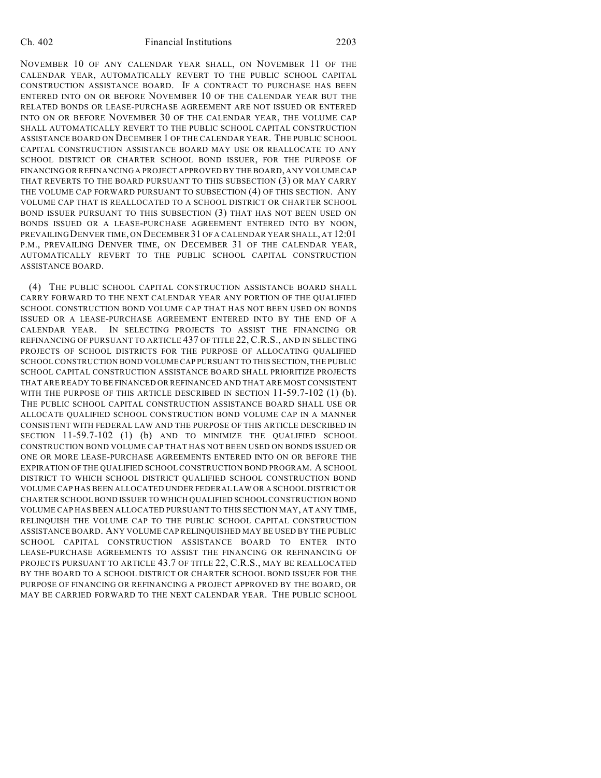NOVEMBER 10 OF ANY CALENDAR YEAR SHALL, ON NOVEMBER 11 OF THE CALENDAR YEAR, AUTOMATICALLY REVERT TO THE PUBLIC SCHOOL CAPITAL CONSTRUCTION ASSISTANCE BOARD. IF A CONTRACT TO PURCHASE HAS BEEN ENTERED INTO ON OR BEFORE NOVEMBER 10 OF THE CALENDAR YEAR BUT THE RELATED BONDS OR LEASE-PURCHASE AGREEMENT ARE NOT ISSUED OR ENTERED INTO ON OR BEFORE NOVEMBER 30 OF THE CALENDAR YEAR, THE VOLUME CAP SHALL AUTOMATICALLY REVERT TO THE PUBLIC SCHOOL CAPITAL CONSTRUCTION ASSISTANCE BOARD ON DECEMBER 1 OF THE CALENDAR YEAR. THE PUBLIC SCHOOL CAPITAL CONSTRUCTION ASSISTANCE BOARD MAY USE OR REALLOCATE TO ANY SCHOOL DISTRICT OR CHARTER SCHOOL BOND ISSUER, FOR THE PURPOSE OF FINANCING OR REFINANCING A PROJECT APPROVED BY THE BOARD, ANY VOLUME CAP THAT REVERTS TO THE BOARD PURSUANT TO THIS SUBSECTION (3) OR MAY CARRY THE VOLUME CAP FORWARD PURSUANT TO SUBSECTION (4) OF THIS SECTION. ANY VOLUME CAP THAT IS REALLOCATED TO A SCHOOL DISTRICT OR CHARTER SCHOOL BOND ISSUER PURSUANT TO THIS SUBSECTION (3) THAT HAS NOT BEEN USED ON BONDS ISSUED OR A LEASE-PURCHASE AGREEMENT ENTERED INTO BY NOON, PREVAILING DENVER TIME, ON DECEMBER 31 OF A CALENDAR YEAR SHALL, AT 12:01 P.M., PREVAILING DENVER TIME, ON DECEMBER 31 OF THE CALENDAR YEAR, AUTOMATICALLY REVERT TO THE PUBLIC SCHOOL CAPITAL CONSTRUCTION ASSISTANCE BOARD.

(4) THE PUBLIC SCHOOL CAPITAL CONSTRUCTION ASSISTANCE BOARD SHALL CARRY FORWARD TO THE NEXT CALENDAR YEAR ANY PORTION OF THE QUALIFIED SCHOOL CONSTRUCTION BOND VOLUME CAP THAT HAS NOT BEEN USED ON BONDS ISSUED OR A LEASE-PURCHASE AGREEMENT ENTERED INTO BY THE END OF A CALENDAR YEAR. IN SELECTING PROJECTS TO ASSIST THE FINANCING OR REFINANCING OF PURSUANT TO ARTICLE 437 OF TITLE 22, C.R.S., AND IN SELECTING PROJECTS OF SCHOOL DISTRICTS FOR THE PURPOSE OF ALLOCATING QUALIFIED SCHOOL CONSTRUCTION BOND VOLUME CAP PURSUANT TO THIS SECTION, THE PUBLIC SCHOOL CAPITAL CONSTRUCTION ASSISTANCE BOARD SHALL PRIORITIZE PROJECTS THAT ARE READY TO BE FINANCED OR REFINANCED AND THAT ARE MOST CONSISTENT WITH THE PURPOSE OF THIS ARTICLE DESCRIBED IN SECTION 11-59.7-102 (1) (b). THE PUBLIC SCHOOL CAPITAL CONSTRUCTION ASSISTANCE BOARD SHALL USE OR ALLOCATE QUALIFIED SCHOOL CONSTRUCTION BOND VOLUME CAP IN A MANNER CONSISTENT WITH FEDERAL LAW AND THE PURPOSE OF THIS ARTICLE DESCRIBED IN SECTION 11-59.7-102 (1) (b) AND TO MINIMIZE THE QUALIFIED SCHOOL CONSTRUCTION BOND VOLUME CAP THAT HAS NOT BEEN USED ON BONDS ISSUED OR ONE OR MORE LEASE-PURCHASE AGREEMENTS ENTERED INTO ON OR BEFORE THE EXPIRATION OF THE QUALIFIED SCHOOL CONSTRUCTION BOND PROGRAM. A SCHOOL DISTRICT TO WHICH SCHOOL DISTRICT QUALIFIED SCHOOL CONSTRUCTION BOND VOLUME CAP HAS BEEN ALLOCATED UNDER FEDERAL LAW OR A SCHOOL DISTRICT OR CHARTER SCHOOL BOND ISSUER TO WHICH QUALIFIED SCHOOL CONSTRUCTION BOND VOLUME CAP HAS BEEN ALLOCATED PURSUANT TO THIS SECTION MAY, AT ANY TIME, RELINQUISH THE VOLUME CAP TO THE PUBLIC SCHOOL CAPITAL CONSTRUCTION ASSISTANCE BOARD. ANY VOLUME CAP RELINQUISHED MAY BE USED BY THE PUBLIC SCHOOL CAPITAL CONSTRUCTION ASSISTANCE BOARD TO ENTER INTO LEASE-PURCHASE AGREEMENTS TO ASSIST THE FINANCING OR REFINANCING OF PROJECTS PURSUANT TO ARTICLE 43.7 OF TITLE 22, C.R.S., MAY BE REALLOCATED BY THE BOARD TO A SCHOOL DISTRICT OR CHARTER SCHOOL BOND ISSUER FOR THE PURPOSE OF FINANCING OR REFINANCING A PROJECT APPROVED BY THE BOARD, OR MAY BE CARRIED FORWARD TO THE NEXT CALENDAR YEAR. THE PUBLIC SCHOOL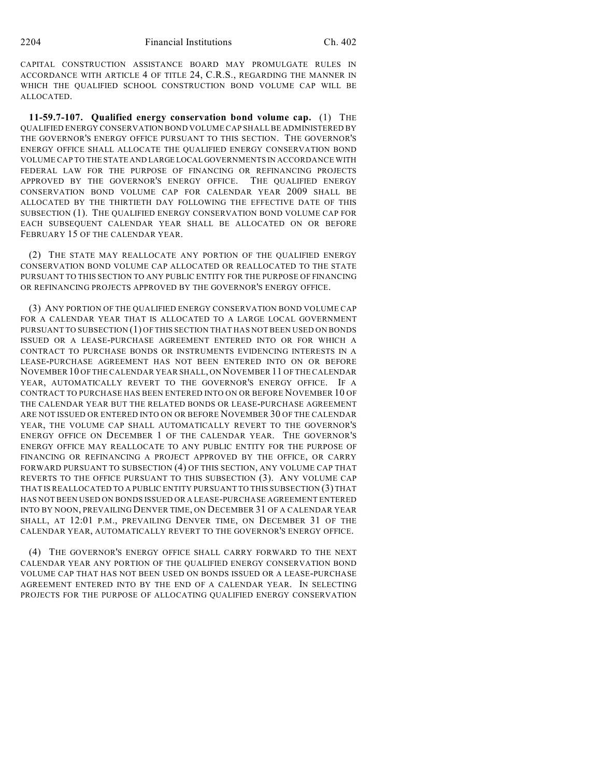CAPITAL CONSTRUCTION ASSISTANCE BOARD MAY PROMULGATE RULES IN ACCORDANCE WITH ARTICLE 4 OF TITLE 24, C.R.S., REGARDING THE MANNER IN WHICH THE QUALIFIED SCHOOL CONSTRUCTION BOND VOLUME CAP WILL BE ALLOCATED.

**11-59.7-107. Qualified energy conservation bond volume cap.** (1) THE QUALIFIED ENERGY CONSERVATION BOND VOLUME CAP SHALL BE ADMINISTERED BY THE GOVERNOR'S ENERGY OFFICE PURSUANT TO THIS SECTION. THE GOVERNOR'S ENERGY OFFICE SHALL ALLOCATE THE QUALIFIED ENERGY CONSERVATION BOND VOLUME CAP TO THE STATE AND LARGE LOCAL GOVERNMENTS IN ACCORDANCE WITH FEDERAL LAW FOR THE PURPOSE OF FINANCING OR REFINANCING PROJECTS APPROVED BY THE GOVERNOR'S ENERGY OFFICE. THE QUALIFIED ENERGY CONSERVATION BOND VOLUME CAP FOR CALENDAR YEAR 2009 SHALL BE ALLOCATED BY THE THIRTIETH DAY FOLLOWING THE EFFECTIVE DATE OF THIS SUBSECTION (1). THE QUALIFIED ENERGY CONSERVATION BOND VOLUME CAP FOR EACH SUBSEQUENT CALENDAR YEAR SHALL BE ALLOCATED ON OR BEFORE FEBRUARY 15 OF THE CALENDAR YEAR.

(2) THE STATE MAY REALLOCATE ANY PORTION OF THE QUALIFIED ENERGY CONSERVATION BOND VOLUME CAP ALLOCATED OR REALLOCATED TO THE STATE PURSUANT TO THIS SECTION TO ANY PUBLIC ENTITY FOR THE PURPOSE OF FINANCING OR REFINANCING PROJECTS APPROVED BY THE GOVERNOR'S ENERGY OFFICE.

(3) ANY PORTION OF THE QUALIFIED ENERGY CONSERVATION BOND VOLUME CAP FOR A CALENDAR YEAR THAT IS ALLOCATED TO A LARGE LOCAL GOVERNMENT PURSUANT TO SUBSECTION (1) OF THIS SECTION THAT HAS NOT BEEN USED ON BONDS ISSUED OR A LEASE-PURCHASE AGREEMENT ENTERED INTO OR FOR WHICH A CONTRACT TO PURCHASE BONDS OR INSTRUMENTS EVIDENCING INTERESTS IN A LEASE-PURCHASE AGREEMENT HAS NOT BEEN ENTERED INTO ON OR BEFORE NOVEMBER 10 OF THE CALENDAR YEAR SHALL, ON NOVEMBER 11 OF THE CALENDAR YEAR, AUTOMATICALLY REVERT TO THE GOVERNOR'S ENERGY OFFICE. IF A CONTRACT TO PURCHASE HAS BEEN ENTERED INTO ON OR BEFORE NOVEMBER 10 OF THE CALENDAR YEAR BUT THE RELATED BONDS OR LEASE-PURCHASE AGREEMENT ARE NOT ISSUED OR ENTERED INTO ON OR BEFORE NOVEMBER 30 OF THE CALENDAR YEAR, THE VOLUME CAP SHALL AUTOMATICALLY REVERT TO THE GOVERNOR'S ENERGY OFFICE ON DECEMBER 1 OF THE CALENDAR YEAR. THE GOVERNOR'S ENERGY OFFICE MAY REALLOCATE TO ANY PUBLIC ENTITY FOR THE PURPOSE OF FINANCING OR REFINANCING A PROJECT APPROVED BY THE OFFICE, OR CARRY FORWARD PURSUANT TO SUBSECTION (4) OF THIS SECTION, ANY VOLUME CAP THAT REVERTS TO THE OFFICE PURSUANT TO THIS SUBSECTION (3). ANY VOLUME CAP THAT IS REALLOCATED TO A PUBLIC ENTITY PURSUANT TO THIS SUBSECTION (3) THAT HAS NOT BEEN USED ON BONDS ISSUED OR A LEASE-PURCHASE AGREEMENT ENTERED INTO BY NOON, PREVAILING DENVER TIME, ON DECEMBER 31 OF A CALENDAR YEAR SHALL, AT 12:01 P.M., PREVAILING DENVER TIME, ON DECEMBER 31 OF THE CALENDAR YEAR, AUTOMATICALLY REVERT TO THE GOVERNOR'S ENERGY OFFICE.

(4) THE GOVERNOR'S ENERGY OFFICE SHALL CARRY FORWARD TO THE NEXT CALENDAR YEAR ANY PORTION OF THE QUALIFIED ENERGY CONSERVATION BOND VOLUME CAP THAT HAS NOT BEEN USED ON BONDS ISSUED OR A LEASE-PURCHASE AGREEMENT ENTERED INTO BY THE END OF A CALENDAR YEAR. IN SELECTING PROJECTS FOR THE PURPOSE OF ALLOCATING QUALIFIED ENERGY CONSERVATION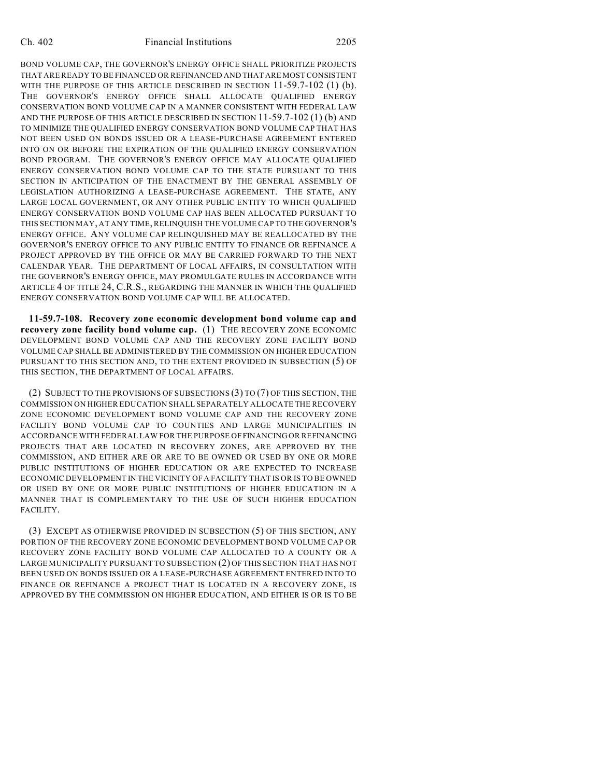BOND VOLUME CAP, THE GOVERNOR'S ENERGY OFFICE SHALL PRIORITIZE PROJECTS THAT ARE READY TO BE FINANCED OR REFINANCED AND THAT ARE MOST CONSISTENT WITH THE PURPOSE OF THIS ARTICLE DESCRIBED IN SECTION 11-59.7-102 (1) (b). THE GOVERNOR'S ENERGY OFFICE SHALL ALLOCATE QUALIFIED ENERGY CONSERVATION BOND VOLUME CAP IN A MANNER CONSISTENT WITH FEDERAL LAW AND THE PURPOSE OF THIS ARTICLE DESCRIBED IN SECTION 11-59.7-102 (1) (b) AND TO MINIMIZE THE QUALIFIED ENERGY CONSERVATION BOND VOLUME CAP THAT HAS NOT BEEN USED ON BONDS ISSUED OR A LEASE-PURCHASE AGREEMENT ENTERED INTO ON OR BEFORE THE EXPIRATION OF THE QUALIFIED ENERGY CONSERVATION BOND PROGRAM. THE GOVERNOR'S ENERGY OFFICE MAY ALLOCATE QUALIFIED ENERGY CONSERVATION BOND VOLUME CAP TO THE STATE PURSUANT TO THIS SECTION IN ANTICIPATION OF THE ENACTMENT BY THE GENERAL ASSEMBLY OF LEGISLATION AUTHORIZING A LEASE-PURCHASE AGREEMENT. THE STATE, ANY LARGE LOCAL GOVERNMENT, OR ANY OTHER PUBLIC ENTITY TO WHICH QUALIFIED ENERGY CONSERVATION BOND VOLUME CAP HAS BEEN ALLOCATED PURSUANT TO THIS SECTION MAY, AT ANY TIME, RELINQUISH THE VOLUME CAP TO THE GOVERNOR'S ENERGY OFFICE. ANY VOLUME CAP RELINQUISHED MAY BE REALLOCATED BY THE GOVERNOR'S ENERGY OFFICE TO ANY PUBLIC ENTITY TO FINANCE OR REFINANCE A PROJECT APPROVED BY THE OFFICE OR MAY BE CARRIED FORWARD TO THE NEXT CALENDAR YEAR. THE DEPARTMENT OF LOCAL AFFAIRS, IN CONSULTATION WITH THE GOVERNOR'S ENERGY OFFICE, MAY PROMULGATE RULES IN ACCORDANCE WITH ARTICLE 4 OF TITLE 24, C.R.S., REGARDING THE MANNER IN WHICH THE QUALIFIED ENERGY CONSERVATION BOND VOLUME CAP WILL BE ALLOCATED.

**11-59.7-108. Recovery zone economic development bond volume cap and recovery zone facility bond volume cap.** (1) THE RECOVERY ZONE ECONOMIC DEVELOPMENT BOND VOLUME CAP AND THE RECOVERY ZONE FACILITY BOND VOLUME CAP SHALL BE ADMINISTERED BY THE COMMISSION ON HIGHER EDUCATION PURSUANT TO THIS SECTION AND, TO THE EXTENT PROVIDED IN SUBSECTION (5) OF THIS SECTION, THE DEPARTMENT OF LOCAL AFFAIRS.

(2) SUBJECT TO THE PROVISIONS OF SUBSECTIONS (3) TO (7) OF THIS SECTION, THE COMMISSION ON HIGHER EDUCATION SHALL SEPARATELY ALLOCATE THE RECOVERY ZONE ECONOMIC DEVELOPMENT BOND VOLUME CAP AND THE RECOVERY ZONE FACILITY BOND VOLUME CAP TO COUNTIES AND LARGE MUNICIPALITIES IN ACCORDANCE WITH FEDERAL LAW FOR THE PURPOSE OF FINANCING OR REFINANCING PROJECTS THAT ARE LOCATED IN RECOVERY ZONES, ARE APPROVED BY THE COMMISSION, AND EITHER ARE OR ARE TO BE OWNED OR USED BY ONE OR MORE PUBLIC INSTITUTIONS OF HIGHER EDUCATION OR ARE EXPECTED TO INCREASE ECONOMIC DEVELOPMENT IN THE VICINITY OF A FACILITY THAT IS OR IS TO BE OWNED OR USED BY ONE OR MORE PUBLIC INSTITUTIONS OF HIGHER EDUCATION IN A MANNER THAT IS COMPLEMENTARY TO THE USE OF SUCH HIGHER EDUCATION FACILITY.

(3) EXCEPT AS OTHERWISE PROVIDED IN SUBSECTION (5) OF THIS SECTION, ANY PORTION OF THE RECOVERY ZONE ECONOMIC DEVELOPMENT BOND VOLUME CAP OR RECOVERY ZONE FACILITY BOND VOLUME CAP ALLOCATED TO A COUNTY OR A LARGE MUNICIPALITY PURSUANT TO SUBSECTION (2) OF THIS SECTION THAT HAS NOT BEEN USED ON BONDS ISSUED OR A LEASE-PURCHASE AGREEMENT ENTERED INTO TO FINANCE OR REFINANCE A PROJECT THAT IS LOCATED IN A RECOVERY ZONE, IS APPROVED BY THE COMMISSION ON HIGHER EDUCATION, AND EITHER IS OR IS TO BE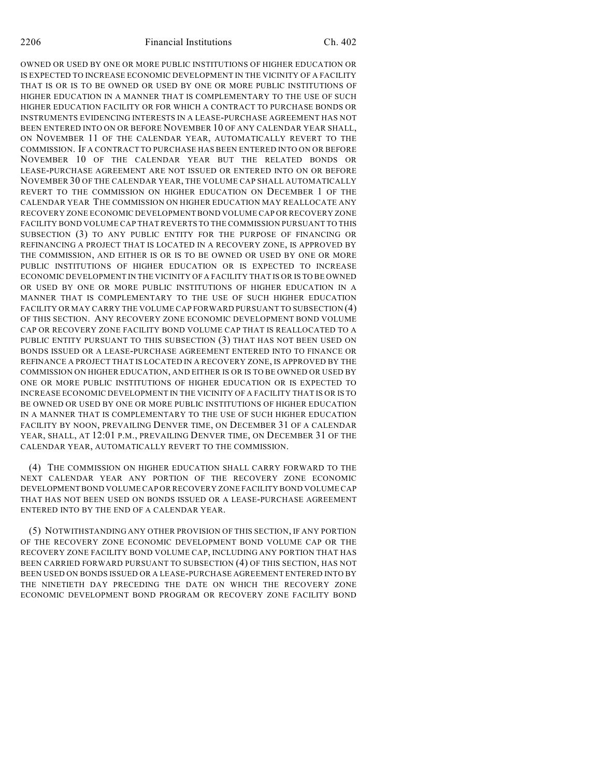OWNED OR USED BY ONE OR MORE PUBLIC INSTITUTIONS OF HIGHER EDUCATION OR IS EXPECTED TO INCREASE ECONOMIC DEVELOPMENT IN THE VICINITY OF A FACILITY THAT IS OR IS TO BE OWNED OR USED BY ONE OR MORE PUBLIC INSTITUTIONS OF HIGHER EDUCATION IN A MANNER THAT IS COMPLEMENTARY TO THE USE OF SUCH HIGHER EDUCATION FACILITY OR FOR WHICH A CONTRACT TO PURCHASE BONDS OR INSTRUMENTS EVIDENCING INTERESTS IN A LEASE-PURCHASE AGREEMENT HAS NOT BEEN ENTERED INTO ON OR BEFORE NOVEMBER 10 OF ANY CALENDAR YEAR SHALL, ON NOVEMBER 11 OF THE CALENDAR YEAR, AUTOMATICALLY REVERT TO THE COMMISSION. IF A CONTRACT TO PURCHASE HAS BEEN ENTERED INTO ON OR BEFORE NOVEMBER 10 OF THE CALENDAR YEAR BUT THE RELATED BONDS OR LEASE-PURCHASE AGREEMENT ARE NOT ISSUED OR ENTERED INTO ON OR BEFORE NOVEMBER 30 OF THE CALENDAR YEAR, THE VOLUME CAP SHALL AUTOMATICALLY REVERT TO THE COMMISSION ON HIGHER EDUCATION ON DECEMBER 1 OF THE CALENDAR YEAR THE COMMISSION ON HIGHER EDUCATION MAY REALLOCATE ANY RECOVERY ZONE ECONOMIC DEVELOPMENT BOND VOLUME CAP OR RECOVERY ZONE FACILITY BOND VOLUME CAP THAT REVERTS TO THE COMMISSION PURSUANT TO THIS SUBSECTION (3) TO ANY PUBLIC ENTITY FOR THE PURPOSE OF FINANCING OR REFINANCING A PROJECT THAT IS LOCATED IN A RECOVERY ZONE, IS APPROVED BY THE COMMISSION, AND EITHER IS OR IS TO BE OWNED OR USED BY ONE OR MORE PUBLIC INSTITUTIONS OF HIGHER EDUCATION OR IS EXPECTED TO INCREASE ECONOMIC DEVELOPMENT IN THE VICINITY OF A FACILITY THAT IS OR IS TO BE OWNED OR USED BY ONE OR MORE PUBLIC INSTITUTIONS OF HIGHER EDUCATION IN A MANNER THAT IS COMPLEMENTARY TO THE USE OF SUCH HIGHER EDUCATION FACILITY OR MAY CARRY THE VOLUME CAP FORWARD PURSUANT TO SUBSECTION (4) OF THIS SECTION. ANY RECOVERY ZONE ECONOMIC DEVELOPMENT BOND VOLUME CAP OR RECOVERY ZONE FACILITY BOND VOLUME CAP THAT IS REALLOCATED TO A PUBLIC ENTITY PURSUANT TO THIS SUBSECTION (3) THAT HAS NOT BEEN USED ON BONDS ISSUED OR A LEASE-PURCHASE AGREEMENT ENTERED INTO TO FINANCE OR REFINANCE A PROJECT THAT IS LOCATED IN A RECOVERY ZONE, IS APPROVED BY THE COMMISSION ON HIGHER EDUCATION, AND EITHER IS OR IS TO BE OWNED OR USED BY ONE OR MORE PUBLIC INSTITUTIONS OF HIGHER EDUCATION OR IS EXPECTED TO INCREASE ECONOMIC DEVELOPMENT IN THE VICINITY OF A FACILITY THAT IS OR IS TO BE OWNED OR USED BY ONE OR MORE PUBLIC INSTITUTIONS OF HIGHER EDUCATION IN A MANNER THAT IS COMPLEMENTARY TO THE USE OF SUCH HIGHER EDUCATION FACILITY BY NOON, PREVAILING DENVER TIME, ON DECEMBER 31 OF A CALENDAR YEAR, SHALL, AT 12:01 P.M., PREVAILING DENVER TIME, ON DECEMBER 31 OF THE CALENDAR YEAR, AUTOMATICALLY REVERT TO THE COMMISSION.

(4) THE COMMISSION ON HIGHER EDUCATION SHALL CARRY FORWARD TO THE NEXT CALENDAR YEAR ANY PORTION OF THE RECOVERY ZONE ECONOMIC DEVELOPMENT BOND VOLUME CAP OR RECOVERY ZONE FACILITY BOND VOLUME CAP THAT HAS NOT BEEN USED ON BONDS ISSUED OR A LEASE-PURCHASE AGREEMENT ENTERED INTO BY THE END OF A CALENDAR YEAR.

(5) NOTWITHSTANDING ANY OTHER PROVISION OF THIS SECTION, IF ANY PORTION OF THE RECOVERY ZONE ECONOMIC DEVELOPMENT BOND VOLUME CAP OR THE RECOVERY ZONE FACILITY BOND VOLUME CAP, INCLUDING ANY PORTION THAT HAS BEEN CARRIED FORWARD PURSUANT TO SUBSECTION (4) OF THIS SECTION, HAS NOT BEEN USED ON BONDS ISSUED OR A LEASE-PURCHASE AGREEMENT ENTERED INTO BY THE NINETIETH DAY PRECEDING THE DATE ON WHICH THE RECOVERY ZONE ECONOMIC DEVELOPMENT BOND PROGRAM OR RECOVERY ZONE FACILITY BOND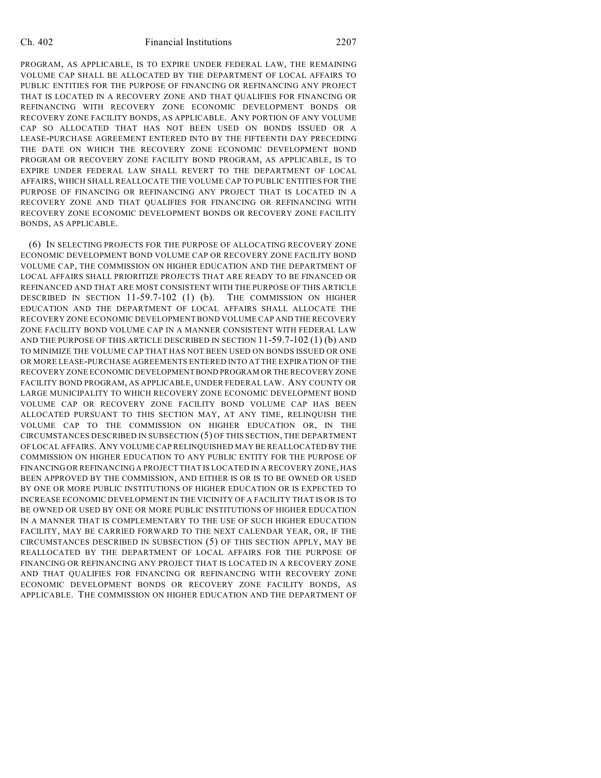#### Ch. 402 Financial Institutions 2207

PROGRAM, AS APPLICABLE, IS TO EXPIRE UNDER FEDERAL LAW, THE REMAINING VOLUME CAP SHALL BE ALLOCATED BY THE DEPARTMENT OF LOCAL AFFAIRS TO PUBLIC ENTITIES FOR THE PURPOSE OF FINANCING OR REFINANCING ANY PROJECT THAT IS LOCATED IN A RECOVERY ZONE AND THAT QUALIFIES FOR FINANCING OR REFINANCING WITH RECOVERY ZONE ECONOMIC DEVELOPMENT BONDS OR RECOVERY ZONE FACILITY BONDS, AS APPLICABLE. ANY PORTION OF ANY VOLUME CAP SO ALLOCATED THAT HAS NOT BEEN USED ON BONDS ISSUED OR A LEASE-PURCHASE AGREEMENT ENTERED INTO BY THE FIFTEENTH DAY PRECEDING THE DATE ON WHICH THE RECOVERY ZONE ECONOMIC DEVELOPMENT BOND PROGRAM OR RECOVERY ZONE FACILITY BOND PROGRAM, AS APPLICABLE, IS TO EXPIRE UNDER FEDERAL LAW SHALL REVERT TO THE DEPARTMENT OF LOCAL AFFAIRS, WHICH SHALL REALLOCATE THE VOLUME CAP TO PUBLIC ENTITIES FOR THE PURPOSE OF FINANCING OR REFINANCING ANY PROJECT THAT IS LOCATED IN A RECOVERY ZONE AND THAT QUALIFIES FOR FINANCING OR REFINANCING WITH RECOVERY ZONE ECONOMIC DEVELOPMENT BONDS OR RECOVERY ZONE FACILITY BONDS, AS APPLICABLE.

(6) IN SELECTING PROJECTS FOR THE PURPOSE OF ALLOCATING RECOVERY ZONE ECONOMIC DEVELOPMENT BOND VOLUME CAP OR RECOVERY ZONE FACILITY BOND VOLUME CAP, THE COMMISSION ON HIGHER EDUCATION AND THE DEPARTMENT OF LOCAL AFFAIRS SHALL PRIORITIZE PROJECTS THAT ARE READY TO BE FINANCED OR REFINANCED AND THAT ARE MOST CONSISTENT WITH THE PURPOSE OF THIS ARTICLE DESCRIBED IN SECTION 11-59.7-102 (1) (b). THE COMMISSION ON HIGHER EDUCATION AND THE DEPARTMENT OF LOCAL AFFAIRS SHALL ALLOCATE THE RECOVERY ZONE ECONOMIC DEVELOPMENT BOND VOLUME CAP AND THE RECOVERY ZONE FACILITY BOND VOLUME CAP IN A MANNER CONSISTENT WITH FEDERAL LAW AND THE PURPOSE OF THIS ARTICLE DESCRIBED IN SECTION 11-59.7-102 (1) (b) AND TO MINIMIZE THE VOLUME CAP THAT HAS NOT BEEN USED ON BONDS ISSUED OR ONE OR MORE LEASE-PURCHASE AGREEMENTS ENTERED INTO AT THE EXPIRATION OF THE RECOVERY ZONE ECONOMIC DEVELOPMENT BOND PROGRAM OR THE RECOVERY ZONE FACILITY BOND PROGRAM, AS APPLICABLE, UNDER FEDERAL LAW. ANY COUNTY OR LARGE MUNICIPALITY TO WHICH RECOVERY ZONE ECONOMIC DEVELOPMENT BOND VOLUME CAP OR RECOVERY ZONE FACILITY BOND VOLUME CAP HAS BEEN ALLOCATED PURSUANT TO THIS SECTION MAY, AT ANY TIME, RELINQUISH THE VOLUME CAP TO THE COMMISSION ON HIGHER EDUCATION OR, IN THE CIRCUMSTANCES DESCRIBED IN SUBSECTION (5) OF THIS SECTION, THE DEPARTMENT OF LOCAL AFFAIRS. ANY VOLUME CAP RELINQUISHED MAY BE REALLOCATED BY THE COMMISSION ON HIGHER EDUCATION TO ANY PUBLIC ENTITY FOR THE PURPOSE OF FINANCING OR REFINANCING A PROJECT THAT IS LOCATED IN A RECOVERY ZONE, HAS BEEN APPROVED BY THE COMMISSION, AND EITHER IS OR IS TO BE OWNED OR USED BY ONE OR MORE PUBLIC INSTITUTIONS OF HIGHER EDUCATION OR IS EXPECTED TO INCREASE ECONOMIC DEVELOPMENT IN THE VICINITY OF A FACILITY THAT IS OR IS TO BE OWNED OR USED BY ONE OR MORE PUBLIC INSTITUTIONS OF HIGHER EDUCATION IN A MANNER THAT IS COMPLEMENTARY TO THE USE OF SUCH HIGHER EDUCATION FACILITY, MAY BE CARRIED FORWARD TO THE NEXT CALENDAR YEAR, OR, IF THE CIRCUMSTANCES DESCRIBED IN SUBSECTION (5) OF THIS SECTION APPLY, MAY BE REALLOCATED BY THE DEPARTMENT OF LOCAL AFFAIRS FOR THE PURPOSE OF FINANCING OR REFINANCING ANY PROJECT THAT IS LOCATED IN A RECOVERY ZONE AND THAT QUALIFIES FOR FINANCING OR REFINANCING WITH RECOVERY ZONE ECONOMIC DEVELOPMENT BONDS OR RECOVERY ZONE FACILITY BONDS, AS APPLICABLE. THE COMMISSION ON HIGHER EDUCATION AND THE DEPARTMENT OF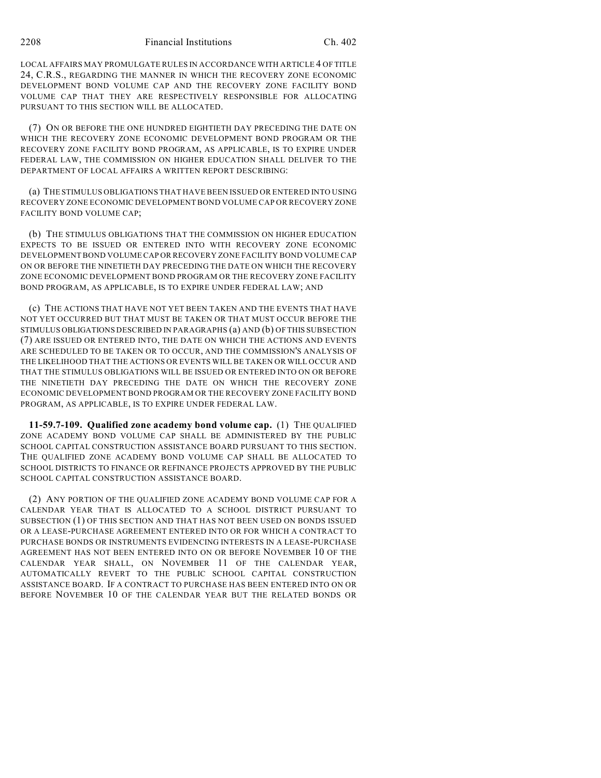LOCAL AFFAIRS MAY PROMULGATE RULES IN ACCORDANCE WITH ARTICLE 4 OF TITLE 24, C.R.S., REGARDING THE MANNER IN WHICH THE RECOVERY ZONE ECONOMIC DEVELOPMENT BOND VOLUME CAP AND THE RECOVERY ZONE FACILITY BOND VOLUME CAP THAT THEY ARE RESPECTIVELY RESPONSIBLE FOR ALLOCATING PURSUANT TO THIS SECTION WILL BE ALLOCATED.

(7) ON OR BEFORE THE ONE HUNDRED EIGHTIETH DAY PRECEDING THE DATE ON WHICH THE RECOVERY ZONE ECONOMIC DEVELOPMENT BOND PROGRAM OR THE RECOVERY ZONE FACILITY BOND PROGRAM, AS APPLICABLE, IS TO EXPIRE UNDER FEDERAL LAW, THE COMMISSION ON HIGHER EDUCATION SHALL DELIVER TO THE DEPARTMENT OF LOCAL AFFAIRS A WRITTEN REPORT DESCRIBING:

(a) THE STIMULUS OBLIGATIONS THAT HAVE BEEN ISSUED OR ENTERED INTO USING RECOVERY ZONE ECONOMIC DEVELOPMENT BOND VOLUME CAP OR RECOVERY ZONE FACILITY BOND VOLUME CAP;

(b) THE STIMULUS OBLIGATIONS THAT THE COMMISSION ON HIGHER EDUCATION EXPECTS TO BE ISSUED OR ENTERED INTO WITH RECOVERY ZONE ECONOMIC DEVELOPMENT BOND VOLUME CAP OR RECOVERY ZONE FACILITY BOND VOLUME CAP ON OR BEFORE THE NINETIETH DAY PRECEDING THE DATE ON WHICH THE RECOVERY ZONE ECONOMIC DEVELOPMENT BOND PROGRAM OR THE RECOVERY ZONE FACILITY BOND PROGRAM, AS APPLICABLE, IS TO EXPIRE UNDER FEDERAL LAW; AND

(c) THE ACTIONS THAT HAVE NOT YET BEEN TAKEN AND THE EVENTS THAT HAVE NOT YET OCCURRED BUT THAT MUST BE TAKEN OR THAT MUST OCCUR BEFORE THE STIMULUS OBLIGATIONS DESCRIBED IN PARAGRAPHS (a) AND (b) OF THIS SUBSECTION (7) ARE ISSUED OR ENTERED INTO, THE DATE ON WHICH THE ACTIONS AND EVENTS ARE SCHEDULED TO BE TAKEN OR TO OCCUR, AND THE COMMISSION'S ANALYSIS OF THE LIKELIHOOD THAT THE ACTIONS OR EVENTS WILL BE TAKEN OR WILL OCCUR AND THAT THE STIMULUS OBLIGATIONS WILL BE ISSUED OR ENTERED INTO ON OR BEFORE THE NINETIETH DAY PRECEDING THE DATE ON WHICH THE RECOVERY ZONE ECONOMIC DEVELOPMENT BOND PROGRAM OR THE RECOVERY ZONE FACILITY BOND PROGRAM, AS APPLICABLE, IS TO EXPIRE UNDER FEDERAL LAW.

**11-59.7-109. Qualified zone academy bond volume cap.** (1) THE QUALIFIED ZONE ACADEMY BOND VOLUME CAP SHALL BE ADMINISTERED BY THE PUBLIC SCHOOL CAPITAL CONSTRUCTION ASSISTANCE BOARD PURSUANT TO THIS SECTION. THE QUALIFIED ZONE ACADEMY BOND VOLUME CAP SHALL BE ALLOCATED TO SCHOOL DISTRICTS TO FINANCE OR REFINANCE PROJECTS APPROVED BY THE PUBLIC SCHOOL CAPITAL CONSTRUCTION ASSISTANCE BOARD.

(2) ANY PORTION OF THE QUALIFIED ZONE ACADEMY BOND VOLUME CAP FOR A CALENDAR YEAR THAT IS ALLOCATED TO A SCHOOL DISTRICT PURSUANT TO SUBSECTION (1) OF THIS SECTION AND THAT HAS NOT BEEN USED ON BONDS ISSUED OR A LEASE-PURCHASE AGREEMENT ENTERED INTO OR FOR WHICH A CONTRACT TO PURCHASE BONDS OR INSTRUMENTS EVIDENCING INTERESTS IN A LEASE-PURCHASE AGREEMENT HAS NOT BEEN ENTERED INTO ON OR BEFORE NOVEMBER 10 OF THE CALENDAR YEAR SHALL, ON NOVEMBER 11 OF THE CALENDAR YEAR, AUTOMATICALLY REVERT TO THE PUBLIC SCHOOL CAPITAL CONSTRUCTION ASSISTANCE BOARD. IF A CONTRACT TO PURCHASE HAS BEEN ENTERED INTO ON OR BEFORE NOVEMBER 10 OF THE CALENDAR YEAR BUT THE RELATED BONDS OR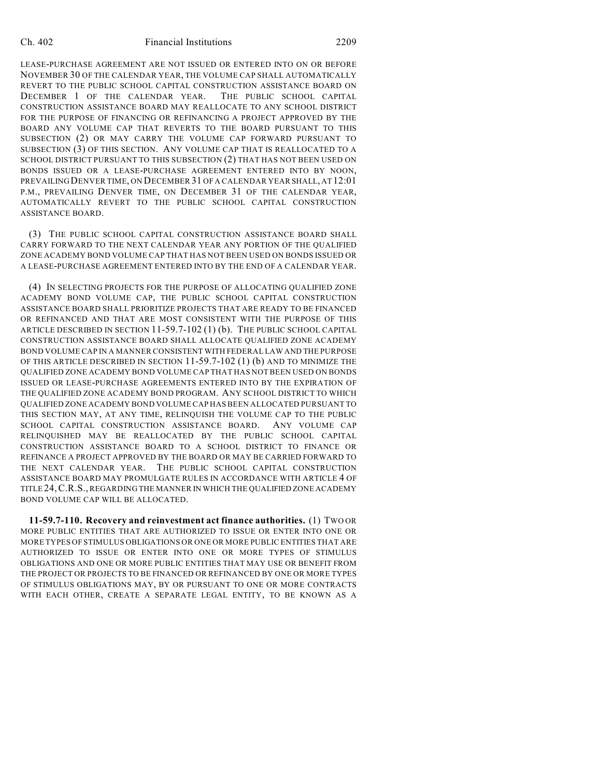#### Ch. 402 Financial Institutions 2209

LEASE-PURCHASE AGREEMENT ARE NOT ISSUED OR ENTERED INTO ON OR BEFORE NOVEMBER 30 OF THE CALENDAR YEAR, THE VOLUME CAP SHALL AUTOMATICALLY REVERT TO THE PUBLIC SCHOOL CAPITAL CONSTRUCTION ASSISTANCE BOARD ON DECEMBER 1 OF THE CALENDAR YEAR. THE PUBLIC SCHOOL CAPITAL CONSTRUCTION ASSISTANCE BOARD MAY REALLOCATE TO ANY SCHOOL DISTRICT FOR THE PURPOSE OF FINANCING OR REFINANCING A PROJECT APPROVED BY THE BOARD ANY VOLUME CAP THAT REVERTS TO THE BOARD PURSUANT TO THIS SUBSECTION (2) OR MAY CARRY THE VOLUME CAP FORWARD PURSUANT TO SUBSECTION (3) OF THIS SECTION. ANY VOLUME CAP THAT IS REALLOCATED TO A SCHOOL DISTRICT PURSUANT TO THIS SUBSECTION (2) THAT HAS NOT BEEN USED ON BONDS ISSUED OR A LEASE-PURCHASE AGREEMENT ENTERED INTO BY NOON, PREVAILING DENVER TIME, ON DECEMBER 31 OF A CALENDAR YEAR SHALL, AT 12:01 P.M., PREVAILING DENVER TIME, ON DECEMBER 31 OF THE CALENDAR YEAR, AUTOMATICALLY REVERT TO THE PUBLIC SCHOOL CAPITAL CONSTRUCTION ASSISTANCE BOARD.

(3) THE PUBLIC SCHOOL CAPITAL CONSTRUCTION ASSISTANCE BOARD SHALL CARRY FORWARD TO THE NEXT CALENDAR YEAR ANY PORTION OF THE QUALIFIED ZONE ACADEMY BOND VOLUME CAP THAT HAS NOT BEEN USED ON BONDS ISSUED OR A LEASE-PURCHASE AGREEMENT ENTERED INTO BY THE END OF A CALENDAR YEAR.

(4) IN SELECTING PROJECTS FOR THE PURPOSE OF ALLOCATING QUALIFIED ZONE ACADEMY BOND VOLUME CAP, THE PUBLIC SCHOOL CAPITAL CONSTRUCTION ASSISTANCE BOARD SHALL PRIORITIZE PROJECTS THAT ARE READY TO BE FINANCED OR REFINANCED AND THAT ARE MOST CONSISTENT WITH THE PURPOSE OF THIS ARTICLE DESCRIBED IN SECTION 11-59.7-102 (1) (b). THE PUBLIC SCHOOL CAPITAL CONSTRUCTION ASSISTANCE BOARD SHALL ALLOCATE QUALIFIED ZONE ACADEMY BOND VOLUME CAP IN A MANNER CONSISTENT WITH FEDERAL LAW AND THE PURPOSE OF THIS ARTICLE DESCRIBED IN SECTION 11-59.7-102 (1) (b) AND TO MINIMIZE THE QUALIFIED ZONE ACADEMY BOND VOLUME CAP THAT HAS NOT BEEN USED ON BONDS ISSUED OR LEASE-PURCHASE AGREEMENTS ENTERED INTO BY THE EXPIRATION OF THE QUALIFIED ZONE ACADEMY BOND PROGRAM. ANY SCHOOL DISTRICT TO WHICH QUALIFIED ZONE ACADEMY BOND VOLUME CAP HAS BEEN ALLOCATED PURSUANT TO THIS SECTION MAY, AT ANY TIME, RELINQUISH THE VOLUME CAP TO THE PUBLIC SCHOOL CAPITAL CONSTRUCTION ASSISTANCE BOARD. ANY VOLUME CAP RELINQUISHED MAY BE REALLOCATED BY THE PUBLIC SCHOOL CAPITAL CONSTRUCTION ASSISTANCE BOARD TO A SCHOOL DISTRICT TO FINANCE OR REFINANCE A PROJECT APPROVED BY THE BOARD OR MAY BE CARRIED FORWARD TO THE NEXT CALENDAR YEAR. THE PUBLIC SCHOOL CAPITAL CONSTRUCTION ASSISTANCE BOARD MAY PROMULGATE RULES IN ACCORDANCE WITH ARTICLE 4 OF TITLE 24,C.R.S., REGARDING THE MANNER IN WHICH THE QUALIFIED ZONE ACADEMY BOND VOLUME CAP WILL BE ALLOCATED.

**11-59.7-110. Recovery and reinvestment act finance authorities.** (1) TWO OR MORE PUBLIC ENTITIES THAT ARE AUTHORIZED TO ISSUE OR ENTER INTO ONE OR MORE TYPES OF STIMULUS OBLIGATIONS OR ONE OR MORE PUBLIC ENTITIES THAT ARE AUTHORIZED TO ISSUE OR ENTER INTO ONE OR MORE TYPES OF STIMULUS OBLIGATIONS AND ONE OR MORE PUBLIC ENTITIES THAT MAY USE OR BENEFIT FROM THE PROJECT OR PROJECTS TO BE FINANCED OR REFINANCED BY ONE OR MORE TYPES OF STIMULUS OBLIGATIONS MAY, BY OR PURSUANT TO ONE OR MORE CONTRACTS WITH EACH OTHER, CREATE A SEPARATE LEGAL ENTITY, TO BE KNOWN AS A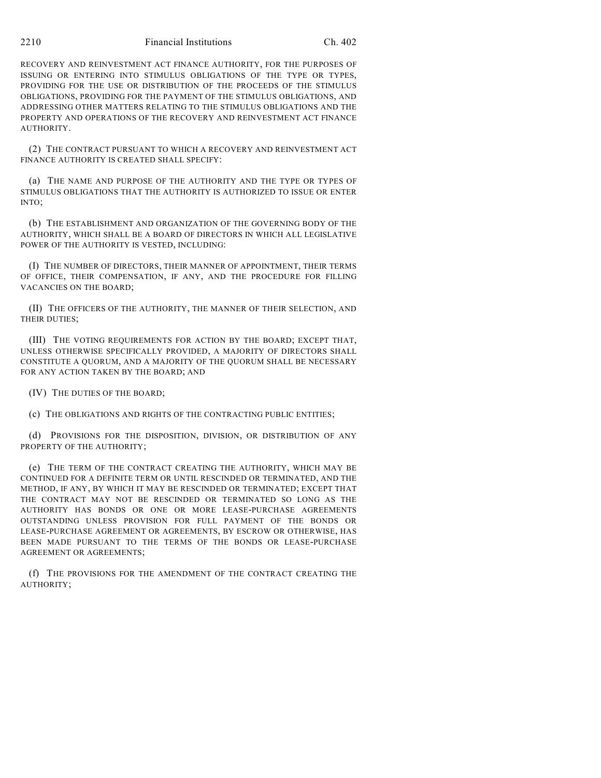RECOVERY AND REINVESTMENT ACT FINANCE AUTHORITY, FOR THE PURPOSES OF ISSUING OR ENTERING INTO STIMULUS OBLIGATIONS OF THE TYPE OR TYPES, PROVIDING FOR THE USE OR DISTRIBUTION OF THE PROCEEDS OF THE STIMULUS OBLIGATIONS, PROVIDING FOR THE PAYMENT OF THE STIMULUS OBLIGATIONS, AND ADDRESSING OTHER MATTERS RELATING TO THE STIMULUS OBLIGATIONS AND THE PROPERTY AND OPERATIONS OF THE RECOVERY AND REINVESTMENT ACT FINANCE AUTHORITY.

(2) THE CONTRACT PURSUANT TO WHICH A RECOVERY AND REINVESTMENT ACT FINANCE AUTHORITY IS CREATED SHALL SPECIFY:

(a) THE NAME AND PURPOSE OF THE AUTHORITY AND THE TYPE OR TYPES OF STIMULUS OBLIGATIONS THAT THE AUTHORITY IS AUTHORIZED TO ISSUE OR ENTER INTO;

(b) THE ESTABLISHMENT AND ORGANIZATION OF THE GOVERNING BODY OF THE AUTHORITY, WHICH SHALL BE A BOARD OF DIRECTORS IN WHICH ALL LEGISLATIVE POWER OF THE AUTHORITY IS VESTED, INCLUDING:

(I) THE NUMBER OF DIRECTORS, THEIR MANNER OF APPOINTMENT, THEIR TERMS OF OFFICE, THEIR COMPENSATION, IF ANY, AND THE PROCEDURE FOR FILLING VACANCIES ON THE BOARD;

(II) THE OFFICERS OF THE AUTHORITY, THE MANNER OF THEIR SELECTION, AND THEIR DUTIES;

(III) THE VOTING REQUIREMENTS FOR ACTION BY THE BOARD; EXCEPT THAT, UNLESS OTHERWISE SPECIFICALLY PROVIDED, A MAJORITY OF DIRECTORS SHALL CONSTITUTE A QUORUM, AND A MAJORITY OF THE QUORUM SHALL BE NECESSARY FOR ANY ACTION TAKEN BY THE BOARD; AND

(IV) THE DUTIES OF THE BOARD;

(c) THE OBLIGATIONS AND RIGHTS OF THE CONTRACTING PUBLIC ENTITIES;

(d) PROVISIONS FOR THE DISPOSITION, DIVISION, OR DISTRIBUTION OF ANY PROPERTY OF THE AUTHORITY;

(e) THE TERM OF THE CONTRACT CREATING THE AUTHORITY, WHICH MAY BE CONTINUED FOR A DEFINITE TERM OR UNTIL RESCINDED OR TERMINATED, AND THE METHOD, IF ANY, BY WHICH IT MAY BE RESCINDED OR TERMINATED; EXCEPT THAT THE CONTRACT MAY NOT BE RESCINDED OR TERMINATED SO LONG AS THE AUTHORITY HAS BONDS OR ONE OR MORE LEASE-PURCHASE AGREEMENTS OUTSTANDING UNLESS PROVISION FOR FULL PAYMENT OF THE BONDS OR LEASE-PURCHASE AGREEMENT OR AGREEMENTS, BY ESCROW OR OTHERWISE, HAS BEEN MADE PURSUANT TO THE TERMS OF THE BONDS OR LEASE-PURCHASE AGREEMENT OR AGREEMENTS;

(f) THE PROVISIONS FOR THE AMENDMENT OF THE CONTRACT CREATING THE AUTHORITY;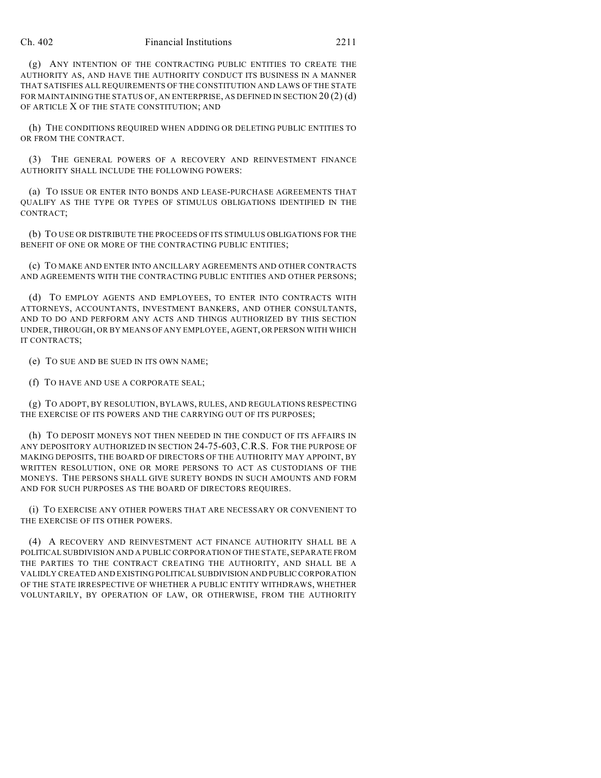(g) ANY INTENTION OF THE CONTRACTING PUBLIC ENTITIES TO CREATE THE AUTHORITY AS, AND HAVE THE AUTHORITY CONDUCT ITS BUSINESS IN A MANNER THAT SATISFIES ALL REQUIREMENTS OF THE CONSTITUTION AND LAWS OF THE STATE FOR MAINTAINING THE STATUS OF, AN ENTERPRISE, AS DEFINED IN SECTION  $20(2)(d)$ OF ARTICLE X OF THE STATE CONSTITUTION; AND

(h) THE CONDITIONS REQUIRED WHEN ADDING OR DELETING PUBLIC ENTITIES TO OR FROM THE CONTRACT.

(3) THE GENERAL POWERS OF A RECOVERY AND REINVESTMENT FINANCE AUTHORITY SHALL INCLUDE THE FOLLOWING POWERS:

(a) TO ISSUE OR ENTER INTO BONDS AND LEASE-PURCHASE AGREEMENTS THAT QUALIFY AS THE TYPE OR TYPES OF STIMULUS OBLIGATIONS IDENTIFIED IN THE CONTRACT;

(b) TO USE OR DISTRIBUTE THE PROCEEDS OF ITS STIMULUS OBLIGATIONS FOR THE BENEFIT OF ONE OR MORE OF THE CONTRACTING PUBLIC ENTITIES;

(c) TO MAKE AND ENTER INTO ANCILLARY AGREEMENTS AND OTHER CONTRACTS AND AGREEMENTS WITH THE CONTRACTING PUBLIC ENTITIES AND OTHER PERSONS;

(d) TO EMPLOY AGENTS AND EMPLOYEES, TO ENTER INTO CONTRACTS WITH ATTORNEYS, ACCOUNTANTS, INVESTMENT BANKERS, AND OTHER CONSULTANTS, AND TO DO AND PERFORM ANY ACTS AND THINGS AUTHORIZED BY THIS SECTION UNDER, THROUGH, OR BY MEANS OF ANY EMPLOYEE, AGENT, OR PERSON WITH WHICH IT CONTRACTS;

(e) TO SUE AND BE SUED IN ITS OWN NAME;

(f) TO HAVE AND USE A CORPORATE SEAL;

(g) TO ADOPT, BY RESOLUTION, BYLAWS, RULES, AND REGULATIONS RESPECTING THE EXERCISE OF ITS POWERS AND THE CARRYING OUT OF ITS PURPOSES;

(h) TO DEPOSIT MONEYS NOT THEN NEEDED IN THE CONDUCT OF ITS AFFAIRS IN ANY DEPOSITORY AUTHORIZED IN SECTION 24-75-603, C.R.S. FOR THE PURPOSE OF MAKING DEPOSITS, THE BOARD OF DIRECTORS OF THE AUTHORITY MAY APPOINT, BY WRITTEN RESOLUTION, ONE OR MORE PERSONS TO ACT AS CUSTODIANS OF THE MONEYS. THE PERSONS SHALL GIVE SURETY BONDS IN SUCH AMOUNTS AND FORM AND FOR SUCH PURPOSES AS THE BOARD OF DIRECTORS REQUIRES.

(i) TO EXERCISE ANY OTHER POWERS THAT ARE NECESSARY OR CONVENIENT TO THE EXERCISE OF ITS OTHER POWERS.

(4) A RECOVERY AND REINVESTMENT ACT FINANCE AUTHORITY SHALL BE A POLITICAL SUBDIVISION AND A PUBLIC CORPORATION OF THE STATE, SEPARATE FROM THE PARTIES TO THE CONTRACT CREATING THE AUTHORITY, AND SHALL BE A VALIDLY CREATED AND EXISTING POLITICAL SUBDIVISION AND PUBLIC CORPORATION OF THE STATE IRRESPECTIVE OF WHETHER A PUBLIC ENTITY WITHDRAWS, WHETHER VOLUNTARILY, BY OPERATION OF LAW, OR OTHERWISE, FROM THE AUTHORITY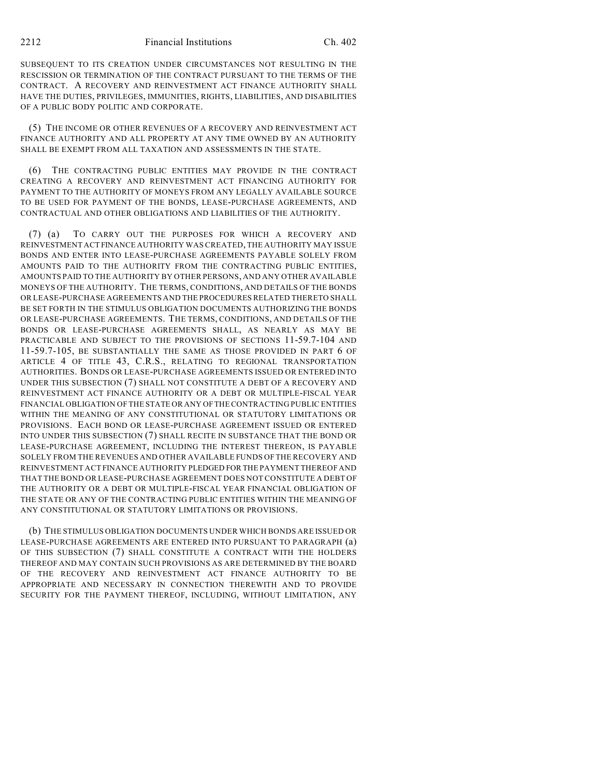SUBSEQUENT TO ITS CREATION UNDER CIRCUMSTANCES NOT RESULTING IN THE RESCISSION OR TERMINATION OF THE CONTRACT PURSUANT TO THE TERMS OF THE CONTRACT. A RECOVERY AND REINVESTMENT ACT FINANCE AUTHORITY SHALL HAVE THE DUTIES, PRIVILEGES, IMMUNITIES, RIGHTS, LIABILITIES, AND DISABILITIES OF A PUBLIC BODY POLITIC AND CORPORATE.

(5) THE INCOME OR OTHER REVENUES OF A RECOVERY AND REINVESTMENT ACT FINANCE AUTHORITY AND ALL PROPERTY AT ANY TIME OWNED BY AN AUTHORITY SHALL BE EXEMPT FROM ALL TAXATION AND ASSESSMENTS IN THE STATE.

(6) THE CONTRACTING PUBLIC ENTITIES MAY PROVIDE IN THE CONTRACT CREATING A RECOVERY AND REINVESTMENT ACT FINANCING AUTHORITY FOR PAYMENT TO THE AUTHORITY OF MONEYS FROM ANY LEGALLY AVAILABLE SOURCE TO BE USED FOR PAYMENT OF THE BONDS, LEASE-PURCHASE AGREEMENTS, AND CONTRACTUAL AND OTHER OBLIGATIONS AND LIABILITIES OF THE AUTHORITY.

(7) (a) TO CARRY OUT THE PURPOSES FOR WHICH A RECOVERY AND REINVESTMENT ACT FINANCE AUTHORITY WAS CREATED, THE AUTHORITY MAY ISSUE BONDS AND ENTER INTO LEASE-PURCHASE AGREEMENTS PAYABLE SOLELY FROM AMOUNTS PAID TO THE AUTHORITY FROM THE CONTRACTING PUBLIC ENTITIES, AMOUNTS PAID TO THE AUTHORITY BY OTHER PERSONS, AND ANY OTHER AVAILABLE MONEYS OF THE AUTHORITY. THE TERMS, CONDITIONS, AND DETAILS OF THE BONDS OR LEASE-PURCHASE AGREEMENTS AND THE PROCEDURES RELATED THERETO SHALL BE SET FORTH IN THE STIMULUS OBLIGATION DOCUMENTS AUTHORIZING THE BONDS OR LEASE-PURCHASE AGREEMENTS. THE TERMS, CONDITIONS, AND DETAILS OF THE BONDS OR LEASE-PURCHASE AGREEMENTS SHALL, AS NEARLY AS MAY BE PRACTICABLE AND SUBJECT TO THE PROVISIONS OF SECTIONS 11-59.7-104 AND 11-59.7-105, BE SUBSTANTIALLY THE SAME AS THOSE PROVIDED IN PART 6 OF ARTICLE 4 OF TITLE 43, C.R.S., RELATING TO REGIONAL TRANSPORTATION AUTHORITIES. BONDS OR LEASE-PURCHASE AGREEMENTS ISSUED OR ENTERED INTO UNDER THIS SUBSECTION (7) SHALL NOT CONSTITUTE A DEBT OF A RECOVERY AND REINVESTMENT ACT FINANCE AUTHORITY OR A DEBT OR MULTIPLE-FISCAL YEAR FINANCIAL OBLIGATION OF THE STATE OR ANY OF THE CONTRACTING PUBLIC ENTITIES WITHIN THE MEANING OF ANY CONSTITUTIONAL OR STATUTORY LIMITATIONS OR PROVISIONS. EACH BOND OR LEASE-PURCHASE AGREEMENT ISSUED OR ENTERED INTO UNDER THIS SUBSECTION (7) SHALL RECITE IN SUBSTANCE THAT THE BOND OR LEASE-PURCHASE AGREEMENT, INCLUDING THE INTEREST THEREON, IS PAYABLE SOLELY FROM THE REVENUES AND OTHER AVAILABLE FUNDS OF THE RECOVERY AND REINVESTMENT ACT FINANCE AUTHORITY PLEDGED FOR THE PAYMENT THEREOF AND THAT THE BOND OR LEASE-PURCHASE AGREEMENT DOES NOT CONSTITUTE A DEBT OF THE AUTHORITY OR A DEBT OR MULTIPLE-FISCAL YEAR FINANCIAL OBLIGATION OF THE STATE OR ANY OF THE CONTRACTING PUBLIC ENTITIES WITHIN THE MEANING OF ANY CONSTITUTIONAL OR STATUTORY LIMITATIONS OR PROVISIONS.

(b) THE STIMULUS OBLIGATION DOCUMENTS UNDER WHICH BONDS ARE ISSUED OR LEASE-PURCHASE AGREEMENTS ARE ENTERED INTO PURSUANT TO PARAGRAPH (a) OF THIS SUBSECTION (7) SHALL CONSTITUTE A CONTRACT WITH THE HOLDERS THEREOF AND MAY CONTAIN SUCH PROVISIONS AS ARE DETERMINED BY THE BOARD OF THE RECOVERY AND REINVESTMENT ACT FINANCE AUTHORITY TO BE APPROPRIATE AND NECESSARY IN CONNECTION THEREWITH AND TO PROVIDE SECURITY FOR THE PAYMENT THEREOF, INCLUDING, WITHOUT LIMITATION, ANY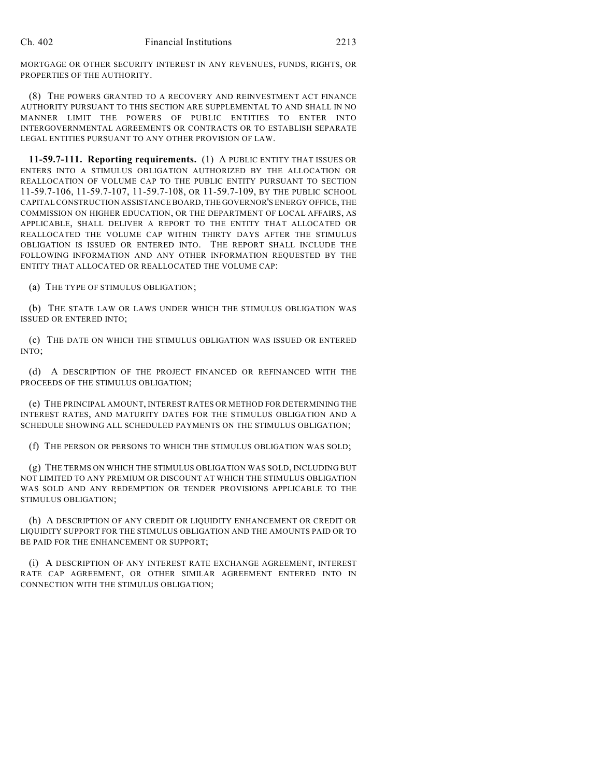MORTGAGE OR OTHER SECURITY INTEREST IN ANY REVENUES, FUNDS, RIGHTS, OR PROPERTIES OF THE AUTHORITY.

(8) THE POWERS GRANTED TO A RECOVERY AND REINVESTMENT ACT FINANCE AUTHORITY PURSUANT TO THIS SECTION ARE SUPPLEMENTAL TO AND SHALL IN NO MANNER LIMIT THE POWERS OF PUBLIC ENTITIES TO ENTER INTO INTERGOVERNMENTAL AGREEMENTS OR CONTRACTS OR TO ESTABLISH SEPARATE LEGAL ENTITIES PURSUANT TO ANY OTHER PROVISION OF LAW.

**11-59.7-111. Reporting requirements.** (1) A PUBLIC ENTITY THAT ISSUES OR ENTERS INTO A STIMULUS OBLIGATION AUTHORIZED BY THE ALLOCATION OR REALLOCATION OF VOLUME CAP TO THE PUBLIC ENTITY PURSUANT TO SECTION 11-59.7-106, 11-59.7-107, 11-59.7-108, OR 11-59.7-109, BY THE PUBLIC SCHOOL CAPITAL CONSTRUCTION ASSISTANCE BOARD, THE GOVERNOR'S ENERGY OFFICE, THE COMMISSION ON HIGHER EDUCATION, OR THE DEPARTMENT OF LOCAL AFFAIRS, AS APPLICABLE, SHALL DELIVER A REPORT TO THE ENTITY THAT ALLOCATED OR REALLOCATED THE VOLUME CAP WITHIN THIRTY DAYS AFTER THE STIMULUS OBLIGATION IS ISSUED OR ENTERED INTO. THE REPORT SHALL INCLUDE THE FOLLOWING INFORMATION AND ANY OTHER INFORMATION REQUESTED BY THE ENTITY THAT ALLOCATED OR REALLOCATED THE VOLUME CAP:

(a) THE TYPE OF STIMULUS OBLIGATION;

(b) THE STATE LAW OR LAWS UNDER WHICH THE STIMULUS OBLIGATION WAS ISSUED OR ENTERED INTO;

(c) THE DATE ON WHICH THE STIMULUS OBLIGATION WAS ISSUED OR ENTERED INTO;

(d) A DESCRIPTION OF THE PROJECT FINANCED OR REFINANCED WITH THE PROCEEDS OF THE STIMULUS OBLIGATION;

(e) THE PRINCIPAL AMOUNT, INTEREST RATES OR METHOD FOR DETERMINING THE INTEREST RATES, AND MATURITY DATES FOR THE STIMULUS OBLIGATION AND A SCHEDULE SHOWING ALL SCHEDULED PAYMENTS ON THE STIMULUS OBLIGATION;

(f) THE PERSON OR PERSONS TO WHICH THE STIMULUS OBLIGATION WAS SOLD;

(g) THE TERMS ON WHICH THE STIMULUS OBLIGATION WAS SOLD, INCLUDING BUT NOT LIMITED TO ANY PREMIUM OR DISCOUNT AT WHICH THE STIMULUS OBLIGATION WAS SOLD AND ANY REDEMPTION OR TENDER PROVISIONS APPLICABLE TO THE STIMULUS OBLIGATION;

(h) A DESCRIPTION OF ANY CREDIT OR LIQUIDITY ENHANCEMENT OR CREDIT OR LIQUIDITY SUPPORT FOR THE STIMULUS OBLIGATION AND THE AMOUNTS PAID OR TO BE PAID FOR THE ENHANCEMENT OR SUPPORT;

(i) A DESCRIPTION OF ANY INTEREST RATE EXCHANGE AGREEMENT, INTEREST RATE CAP AGREEMENT, OR OTHER SIMILAR AGREEMENT ENTERED INTO IN CONNECTION WITH THE STIMULUS OBLIGATION;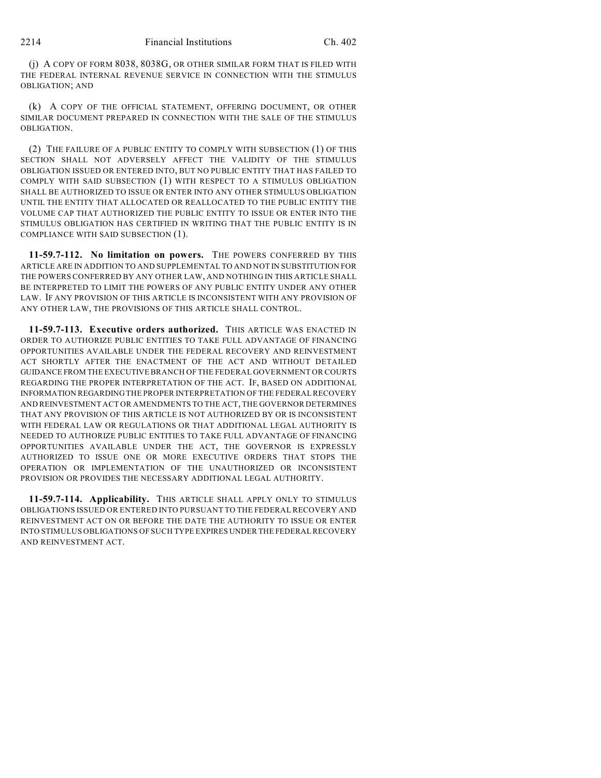(j) A COPY OF FORM 8038, 8038G, OR OTHER SIMILAR FORM THAT IS FILED WITH THE FEDERAL INTERNAL REVENUE SERVICE IN CONNECTION WITH THE STIMULUS OBLIGATION; AND

(k) A COPY OF THE OFFICIAL STATEMENT, OFFERING DOCUMENT, OR OTHER SIMILAR DOCUMENT PREPARED IN CONNECTION WITH THE SALE OF THE STIMULUS OBLIGATION.

(2) THE FAILURE OF A PUBLIC ENTITY TO COMPLY WITH SUBSECTION (1) OF THIS SECTION SHALL NOT ADVERSELY AFFECT THE VALIDITY OF THE STIMULUS OBLIGATION ISSUED OR ENTERED INTO, BUT NO PUBLIC ENTITY THAT HAS FAILED TO COMPLY WITH SAID SUBSECTION (1) WITH RESPECT TO A STIMULUS OBLIGATION SHALL BE AUTHORIZED TO ISSUE OR ENTER INTO ANY OTHER STIMULUS OBLIGATION UNTIL THE ENTITY THAT ALLOCATED OR REALLOCATED TO THE PUBLIC ENTITY THE VOLUME CAP THAT AUTHORIZED THE PUBLIC ENTITY TO ISSUE OR ENTER INTO THE STIMULUS OBLIGATION HAS CERTIFIED IN WRITING THAT THE PUBLIC ENTITY IS IN COMPLIANCE WITH SAID SUBSECTION (1).

**11-59.7-112. No limitation on powers.** THE POWERS CONFERRED BY THIS ARTICLE ARE IN ADDITION TO AND SUPPLEMENTAL TO AND NOT IN SUBSTITUTION FOR THE POWERS CONFERRED BY ANY OTHER LAW, AND NOTHING IN THIS ARTICLE SHALL BE INTERPRETED TO LIMIT THE POWERS OF ANY PUBLIC ENTITY UNDER ANY OTHER LAW. IF ANY PROVISION OF THIS ARTICLE IS INCONSISTENT WITH ANY PROVISION OF ANY OTHER LAW, THE PROVISIONS OF THIS ARTICLE SHALL CONTROL.

**11-59.7-113. Executive orders authorized.** THIS ARTICLE WAS ENACTED IN ORDER TO AUTHORIZE PUBLIC ENTITIES TO TAKE FULL ADVANTAGE OF FINANCING OPPORTUNITIES AVAILABLE UNDER THE FEDERAL RECOVERY AND REINVESTMENT ACT SHORTLY AFTER THE ENACTMENT OF THE ACT AND WITHOUT DETAILED GUIDANCE FROM THE EXECUTIVE BRANCH OF THE FEDERAL GOVERNMENT OR COURTS REGARDING THE PROPER INTERPRETATION OF THE ACT. IF, BASED ON ADDITIONAL INFORMATION REGARDING THE PROPER INTERPRETATION OF THE FEDERAL RECOVERY AND REINVESTMENT ACT OR AMENDMENTS TO THE ACT, THE GOVERNOR DETERMINES THAT ANY PROVISION OF THIS ARTICLE IS NOT AUTHORIZED BY OR IS INCONSISTENT WITH FEDERAL LAW OR REGULATIONS OR THAT ADDITIONAL LEGAL AUTHORITY IS NEEDED TO AUTHORIZE PUBLIC ENTITIES TO TAKE FULL ADVANTAGE OF FINANCING OPPORTUNITIES AVAILABLE UNDER THE ACT, THE GOVERNOR IS EXPRESSLY AUTHORIZED TO ISSUE ONE OR MORE EXECUTIVE ORDERS THAT STOPS THE OPERATION OR IMPLEMENTATION OF THE UNAUTHORIZED OR INCONSISTENT PROVISION OR PROVIDES THE NECESSARY ADDITIONAL LEGAL AUTHORITY.

**11-59.7-114. Applicability.** THIS ARTICLE SHALL APPLY ONLY TO STIMULUS OBLIGATIONS ISSUED OR ENTERED INTO PURSUANT TO THE FEDERAL RECOVERY AND REINVESTMENT ACT ON OR BEFORE THE DATE THE AUTHORITY TO ISSUE OR ENTER INTO STIMULUS OBLIGATIONS OF SUCH TYPE EXPIRES UNDER THE FEDERAL RECOVERY AND REINVESTMENT ACT.